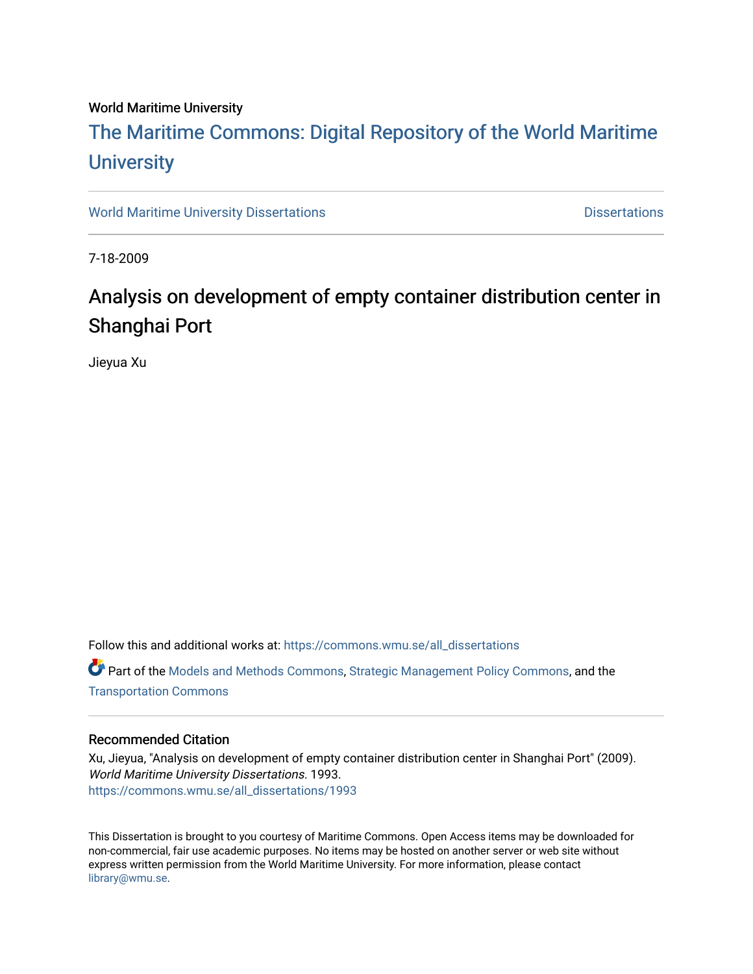### World Maritime University

# [The Maritime Commons: Digital Repository of the World Maritime](https://commons.wmu.se/)  **University**

[World Maritime University Dissertations](https://commons.wmu.se/all_dissertations) **Distributions** [Dissertations](https://commons.wmu.se/dissertations) Dissertations

7-18-2009

# Analysis on development of empty container distribution center in Shanghai Port

Jieyua Xu

Follow this and additional works at: [https://commons.wmu.se/all\\_dissertations](https://commons.wmu.se/all_dissertations?utm_source=commons.wmu.se%2Fall_dissertations%2F1993&utm_medium=PDF&utm_campaign=PDFCoverPages) 

Part of the [Models and Methods Commons,](http://network.bepress.com/hgg/discipline/390?utm_source=commons.wmu.se%2Fall_dissertations%2F1993&utm_medium=PDF&utm_campaign=PDFCoverPages) [Strategic Management Policy Commons,](http://network.bepress.com/hgg/discipline/642?utm_source=commons.wmu.se%2Fall_dissertations%2F1993&utm_medium=PDF&utm_campaign=PDFCoverPages) and the [Transportation Commons](http://network.bepress.com/hgg/discipline/1068?utm_source=commons.wmu.se%2Fall_dissertations%2F1993&utm_medium=PDF&utm_campaign=PDFCoverPages) 

#### Recommended Citation

Xu, Jieyua, "Analysis on development of empty container distribution center in Shanghai Port" (2009). World Maritime University Dissertations. 1993. [https://commons.wmu.se/all\\_dissertations/1993](https://commons.wmu.se/all_dissertations/1993?utm_source=commons.wmu.se%2Fall_dissertations%2F1993&utm_medium=PDF&utm_campaign=PDFCoverPages)

This Dissertation is brought to you courtesy of Maritime Commons. Open Access items may be downloaded for non-commercial, fair use academic purposes. No items may be hosted on another server or web site without express written permission from the World Maritime University. For more information, please contact [library@wmu.se](mailto:library@wmu.edu).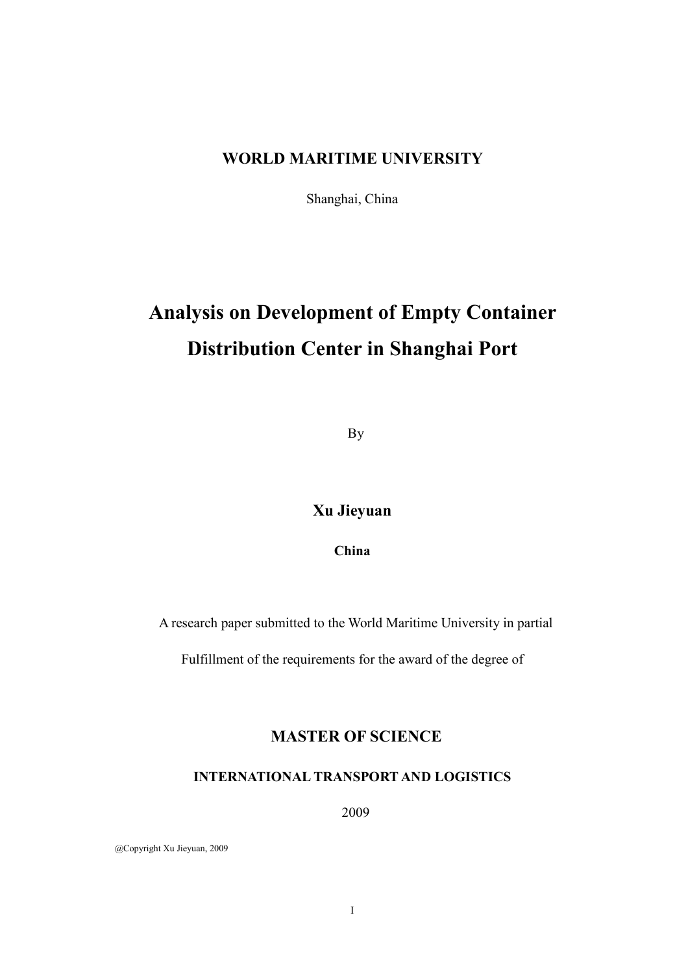## WORLD MARITIME UNIVERSITY

Shanghai, China

# Analysis on Development of Empty Container Distribution Center in Shanghai Port

By

# Xu Jieyuan

China

A research paper submitted to the World Maritime University in partial

Fulfillment of the requirements for the award of the degree of

# MASTER OF SCIENCE

### I
TER
ATIO
AL TRA
SPORT A
D LOGISTICS

2009

@Copyright Xu Jieyuan, 2009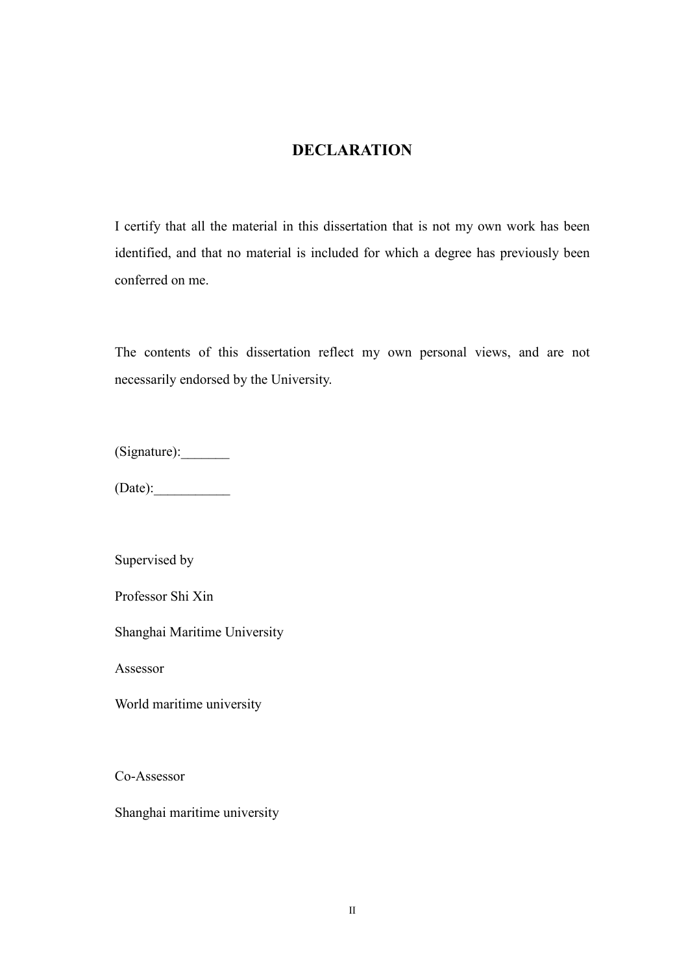# **DECLARATION**

I certify that all the material in this dissertation that is not my own work has been identified, and that no material is included for which a degree has previously been conferred on me.

The contents of this dissertation reflect my own personal views, and are not necessarily endorsed by the University.

(Signature):\_\_\_\_\_\_\_

 $(Date):$ 

Supervised by

Professor Shi Xin

Shanghai Maritime University

Assessor

World maritime university

Co-Assessor

Shanghai maritime university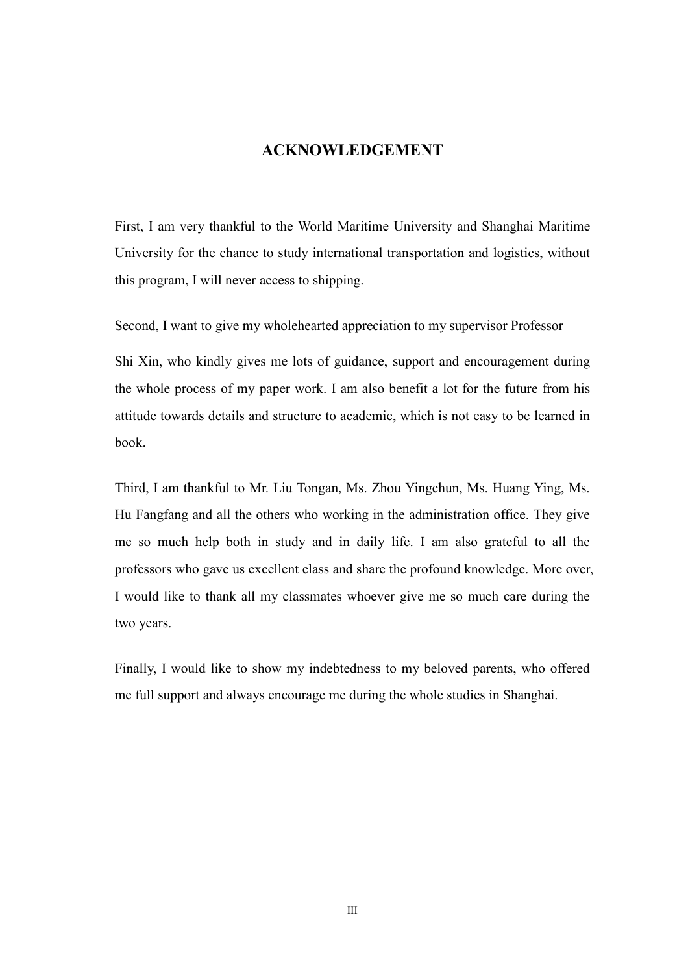## **ACKNOWLEDGEMENT**

First, I am very thankful to the World Maritime University and Shanghai Maritime University for the chance to study international transportation and logistics, without this program, I will never access to shipping.

Second, I want to give my wholehearted appreciation to my supervisor Professor

Shi Xin, who kindly gives me lots of guidance, support and encouragement during the whole process of my paper work. I am also benefit a lot for the future from his attitude towards details and structure to academic, which is not easy to be learned in book.

Third, I am thankful to Mr. Liu Tongan, Ms. Zhou Yingchun, Ms. Huang Ying, Ms. Hu Fangfang and all the others who working in the administration office. They give me so much help both in study and in daily life. I am also grateful to all the professors who gave us excellent class and share the profound knowledge. More over, I would like to thank all my classmates whoever give me so much care during the two years.

Finally, I would like to show my indebtedness to my beloved parents, who offered me full support and always encourage me during the whole studies in Shanghai.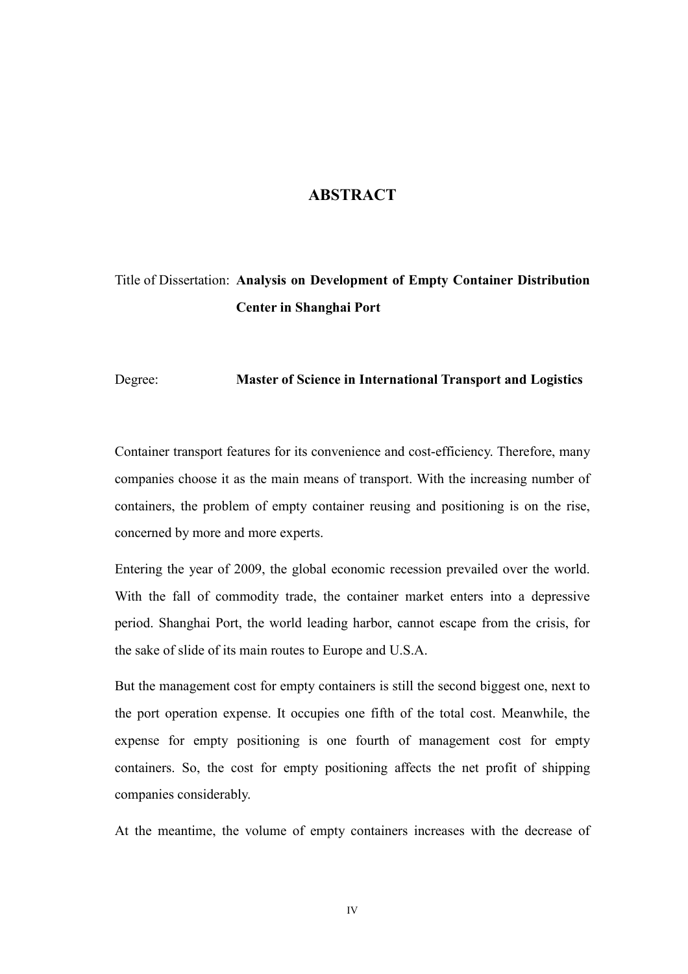### **ABSTRACT**

# Title of Dissertation: Analysis on Development of Empty Container Distribution Center in Shanghai Port

Degree: Master of Science in International Transport and Logistics

Container transport features for its convenience and cost-efficiency. Therefore, many companies choose it as the main means of transport. With the increasing number of containers, the problem of empty container reusing and positioning is on the rise, concerned by more and more experts.

Entering the year of 2009, the global economic recession prevailed over the world. With the fall of commodity trade, the container market enters into a depressive period. Shanghai Port, the world leading harbor, cannot escape from the crisis, for the sake of slide of its main routes to Europe and U.S.A.

But the management cost for empty containers is still the second biggest one, next to the port operation expense. It occupies one fifth of the total cost. Meanwhile, the expense for empty positioning is one fourth of management cost for empty containers. So, the cost for empty positioning affects the net profit of shipping companies considerably.

At the meantime, the volume of empty containers increases with the decrease of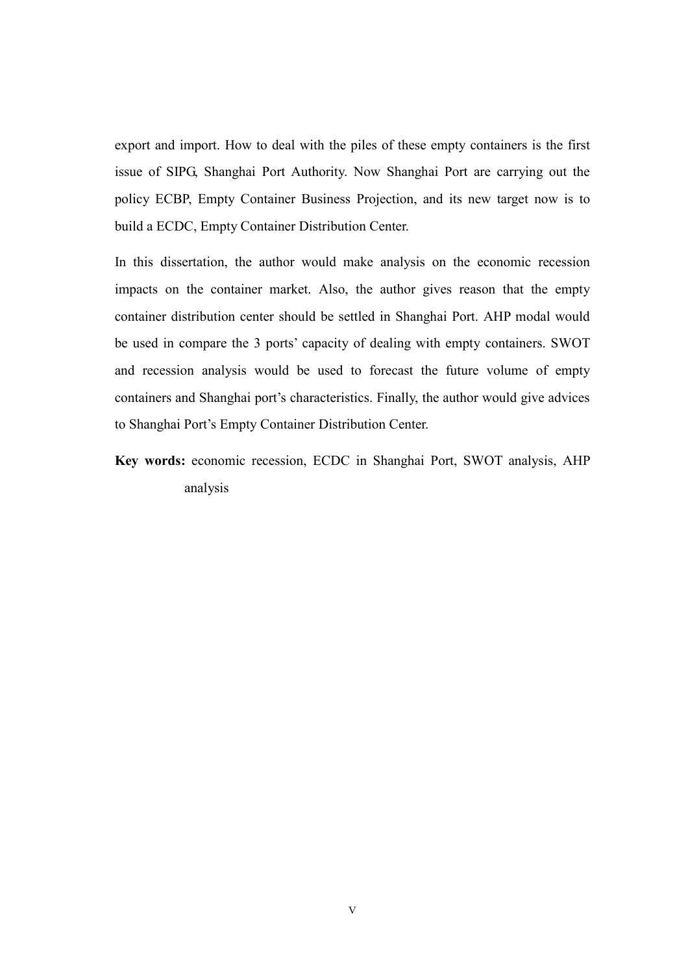export and import. How to deal with the piles of these empty containers is the first issue of SIPG, Shanghai Port Authority. Now Shanghai Port are carrying out the policy ECBP, Empty Container Business Projection, and its new target now is to build a ECDC, Empty Container Distribution Center.

In this dissertation, the author would make analysis on the economic recession impacts on the container market. Also, the author gives reason that the empty container distribution center should be settled in Shanghai Port. AHP modal would be used in compare the 3 ports' capacity of dealing with empty containers. SWOT and recession analysis would be used to forecast the future volume of empty containers and Shanghai port's characteristics. Finally, the author would give advices to Shanghai Port's Empty Container Distribution Center.

Key words: economic recession, ECDC in Shanghai Port, SWOT analysis, AHP analysis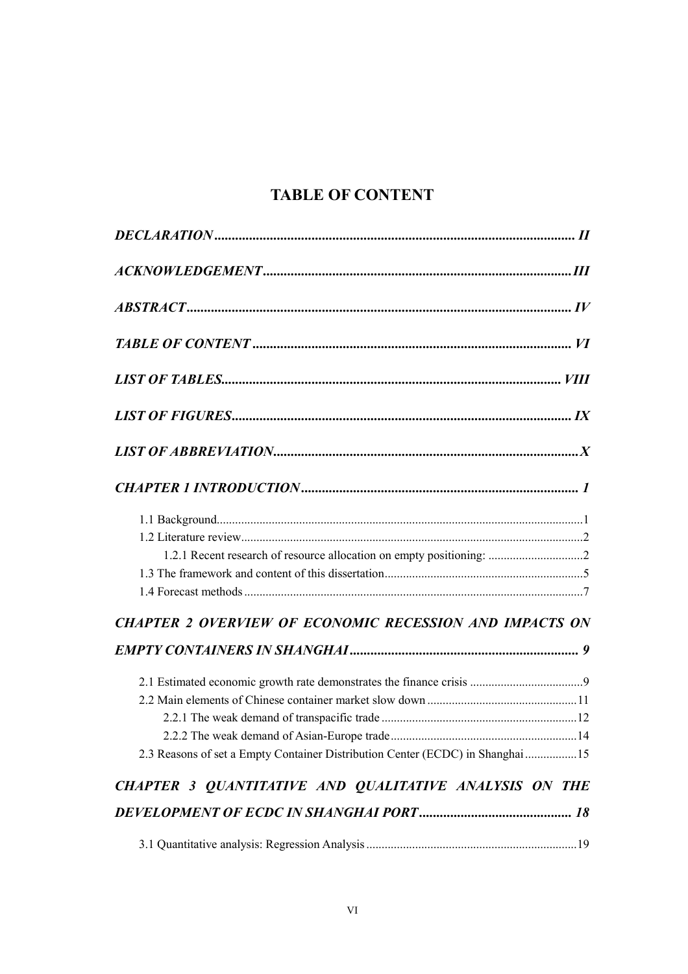# TABLE OF CONTENT

| <b>CHAPTER 2 OVERVIEW OF ECONOMIC RECESSION AND IMPACTS ON</b>                 |
|--------------------------------------------------------------------------------|
|                                                                                |
|                                                                                |
|                                                                                |
|                                                                                |
|                                                                                |
| 2.3 Reasons of set a Empty Container Distribution Center (ECDC) in Shanghai 15 |
| CHAPTER 3 QUANTITATIVE AND QUALITATIVE ANALYSIS ON THE                         |
|                                                                                |
|                                                                                |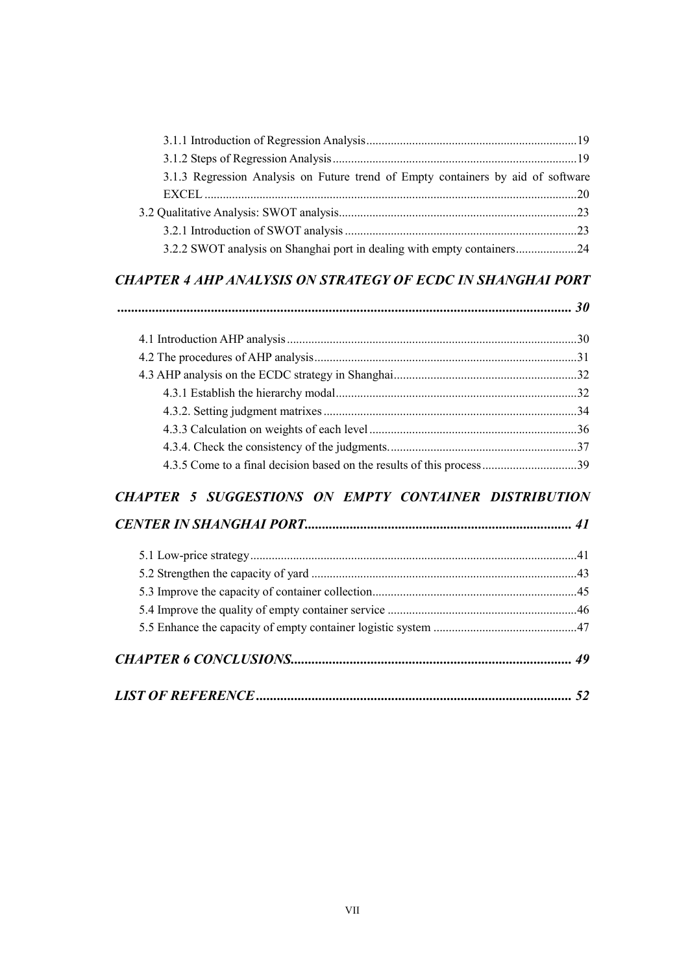| 3.1.3 Regression Analysis on Future trend of Empty containers by aid of software |  |
|----------------------------------------------------------------------------------|--|
|                                                                                  |  |
|                                                                                  |  |
|                                                                                  |  |
| 3.2.2 SWOT analysis on Shanghai port in dealing with empty containers24          |  |

## CHAPTER 4 AHP ANALYSIS ON STRATEGY OF ECDC IN SHANGHAI PORT

| <b>CHAPTER 5 SUGGESTIONS ON EMPTY CONTAINER DISTRIBUTION</b> |  |
|--------------------------------------------------------------|--|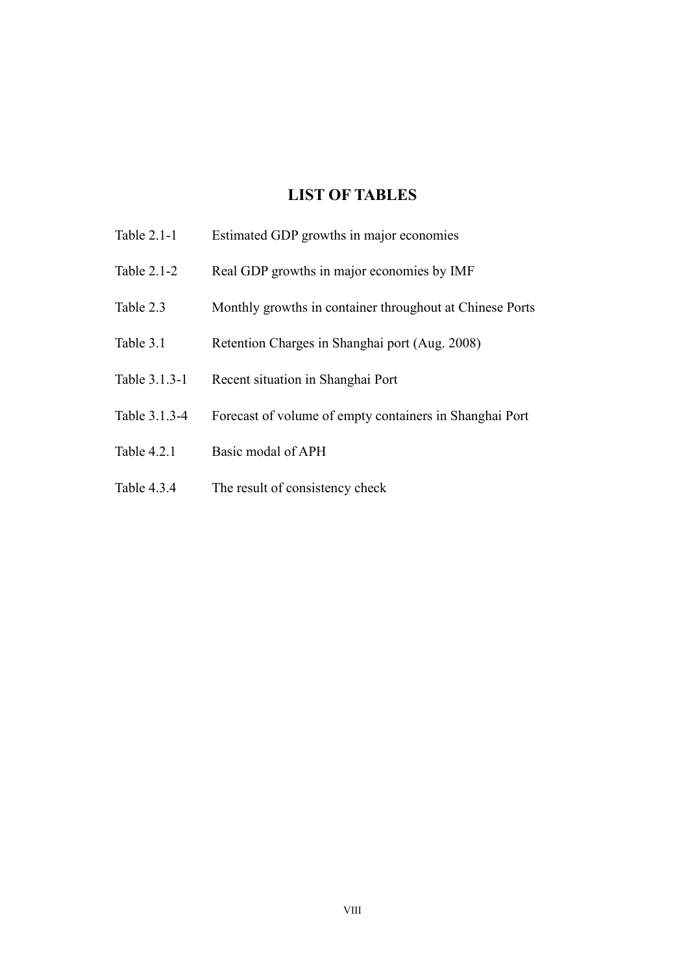# LIST OF TABLES

- Table 2.1-1 Estimated GDP growths in major economies
- Table 2.1-2 Real GDP growths in major economies by IMF
- Table 2.3 Monthly growths in container throughout at Chinese Ports
- Table 3.1 Retention Charges in Shanghai port (Aug. 2008)
- Table 3.1.3-1 Recent situation in Shanghai Port
- Table 3.1.3-4 Forecast of volume of empty containers in Shanghai Port
- Table 4.2.1 Basic modal of APH
- Table 4.3.4 The result of consistency check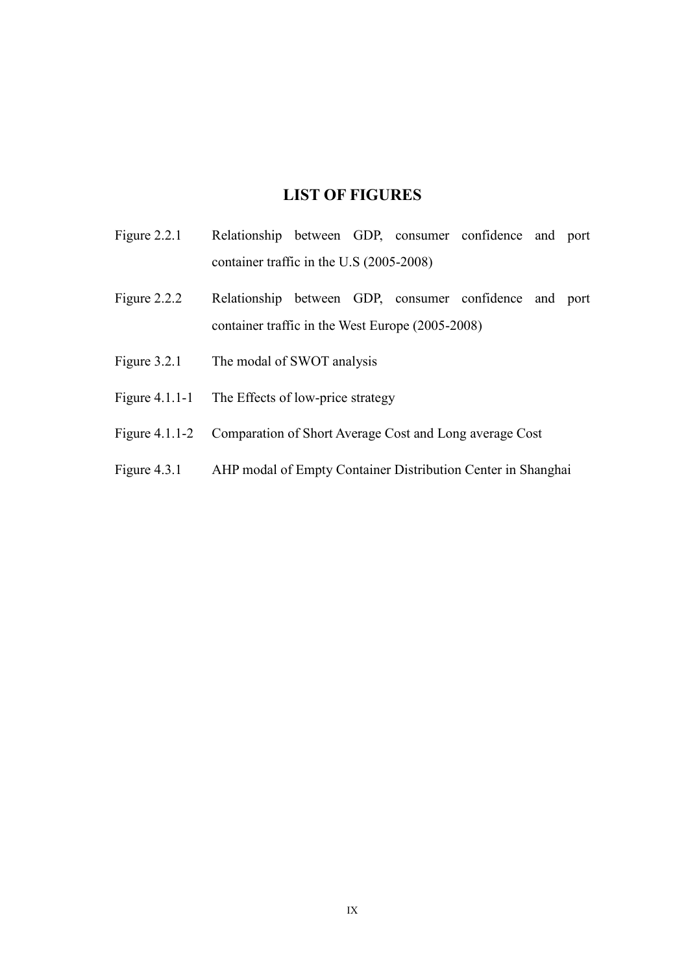# LIST OF FIGURES

- Figure 2.2.1 Relationship between GDP, consumer confidence and port container traffic in the U.S (2005-2008)
- Figure 2.2.2 Relationship between GDP, consumer confidence and port container traffic in the West Europe (2005-2008)
- Figure 3.2.1 The modal of SWOT analysis
- Figure 4.1.1-1 The Effects of low-price strategy
- Figure 4.1.1-2 Comparation of Short Average Cost and Long average Cost
- Figure 4.3.1 AHP modal of Empty Container Distribution Center in Shanghai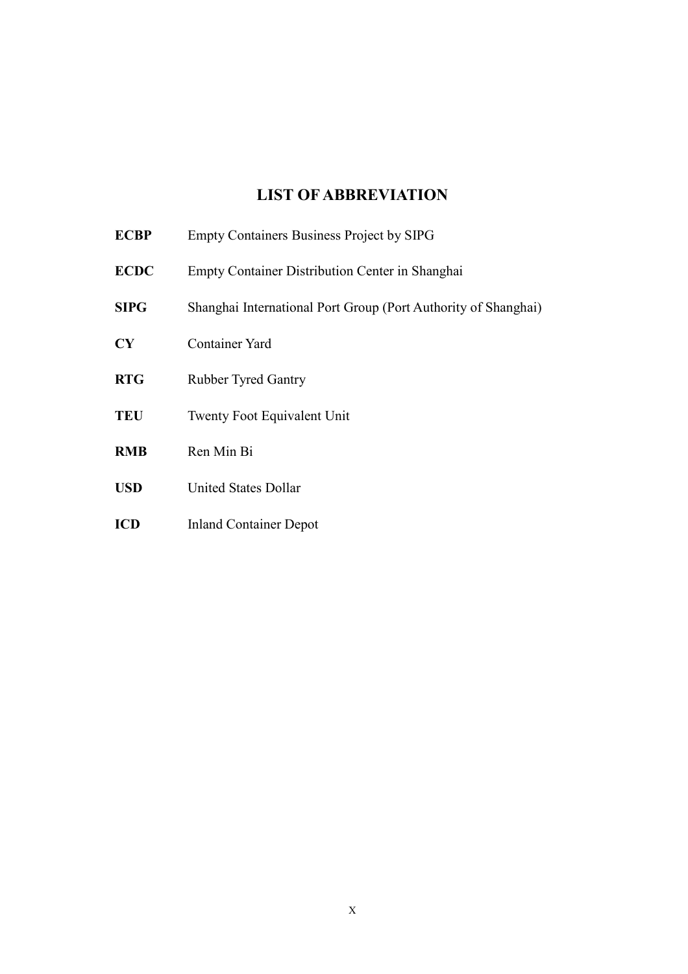# LIST OF ABBREVIATIO

| <b>ECBP</b> | <b>Empty Containers Business Project by SIPG</b>               |
|-------------|----------------------------------------------------------------|
| <b>ECDC</b> | Empty Container Distribution Center in Shanghai                |
| <b>SIPG</b> | Shanghai International Port Group (Port Authority of Shanghai) |
| CY          | Container Yard                                                 |
| <b>RTG</b>  | <b>Rubber Tyred Gantry</b>                                     |
| <b>TEU</b>  | <b>Twenty Foot Equivalent Unit</b>                             |
| DID         | $DMD$ :                                                        |

- RMB Ren Min Bi
- USD United States Dollar
- ICD Inland Container Depot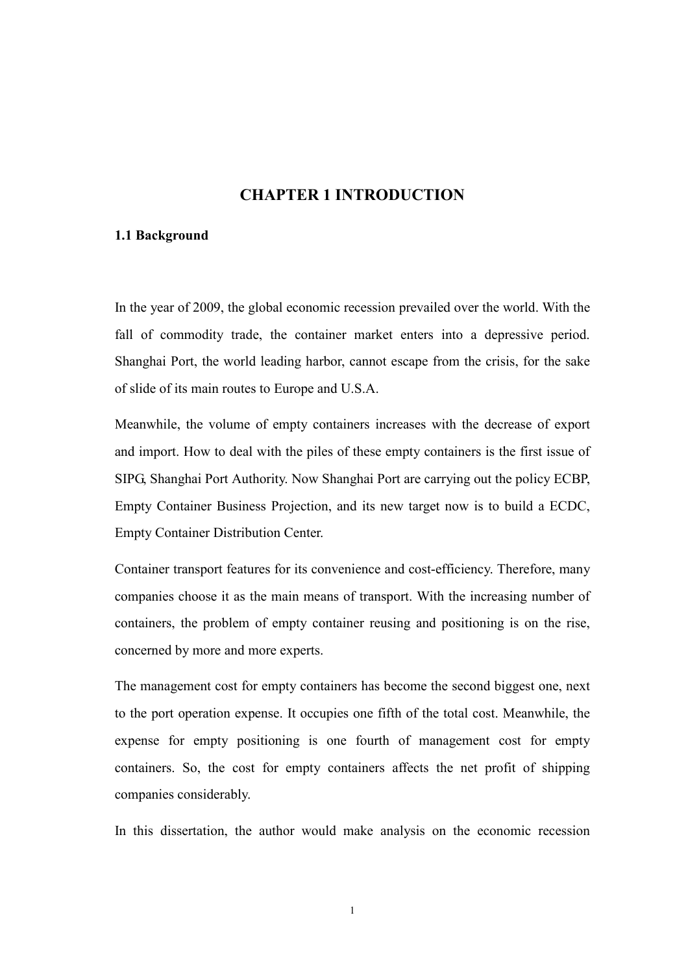## **CHAPTER 1 INTRODUCTION**

### 1.1 Background

In the year of 2009, the global economic recession prevailed over the world. With the fall of commodity trade, the container market enters into a depressive period. Shanghai Port, the world leading harbor, cannot escape from the crisis, for the sake of slide of its main routes to Europe and U.S.A.

Meanwhile, the volume of empty containers increases with the decrease of export and import. How to deal with the piles of these empty containers is the first issue of SIPG, Shanghai Port Authority. Now Shanghai Port are carrying out the policy ECBP, Empty Container Business Projection, and its new target now is to build a ECDC, Empty Container Distribution Center.

Container transport features for its convenience and cost-efficiency. Therefore, many companies choose it as the main means of transport. With the increasing number of containers, the problem of empty container reusing and positioning is on the rise, concerned by more and more experts.

The management cost for empty containers has become the second biggest one, next to the port operation expense. It occupies one fifth of the total cost. Meanwhile, the expense for empty positioning is one fourth of management cost for empty containers. So, the cost for empty containers affects the net profit of shipping companies considerably.

In this dissertation, the author would make analysis on the economic recession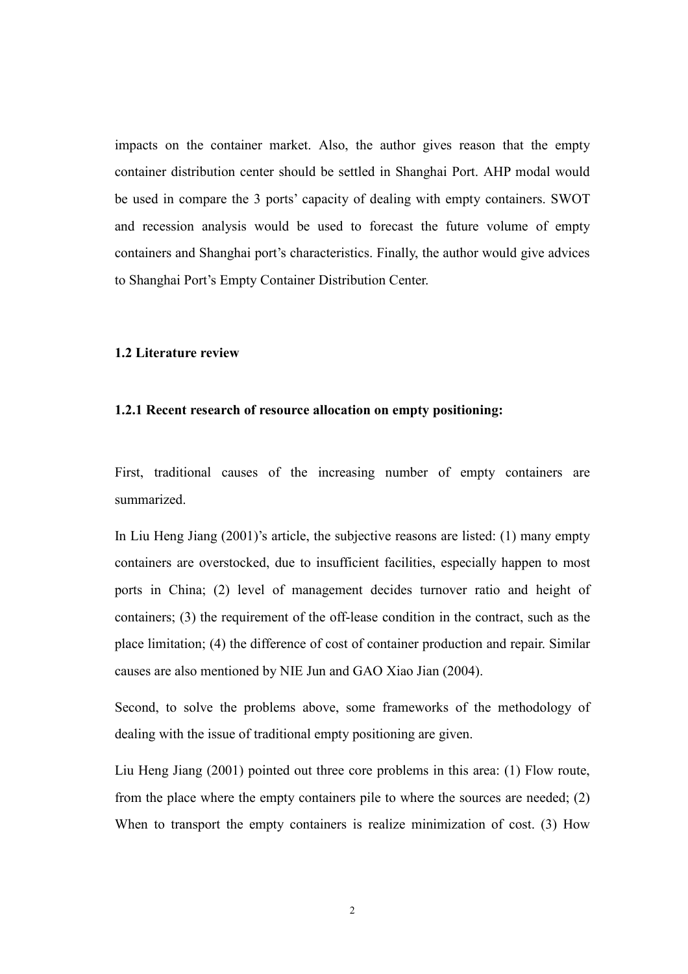impacts on the container market. Also, the author gives reason that the empty container distribution center should be settled in Shanghai Port. AHP modal would be used in compare the 3 ports' capacity of dealing with empty containers. SWOT and recession analysis would be used to forecast the future volume of empty containers and Shanghai port's characteristics. Finally, the author would give advices to Shanghai Port's Empty Container Distribution Center.

#### 1.2 Literature review

### 1.2.1 Recent research of resource allocation on empty positioning:

First, traditional causes of the increasing number of empty containers are summarized.

In Liu Heng Jiang (2001)'s article, the subjective reasons are listed: (1) many empty containers are overstocked, due to insufficient facilities, especially happen to most ports in China; (2) level of management decides turnover ratio and height of containers; (3) the requirement of the off-lease condition in the contract, such as the place limitation; (4) the difference of cost of container production and repair. Similar causes are also mentioned by NIE Jun and GAO Xiao Jian (2004).

Second, to solve the problems above, some frameworks of the methodology of dealing with the issue of traditional empty positioning are given.

Liu Heng Jiang (2001) pointed out three core problems in this area: (1) Flow route, from the place where the empty containers pile to where the sources are needed; (2) When to transport the empty containers is realize minimization of cost. (3) How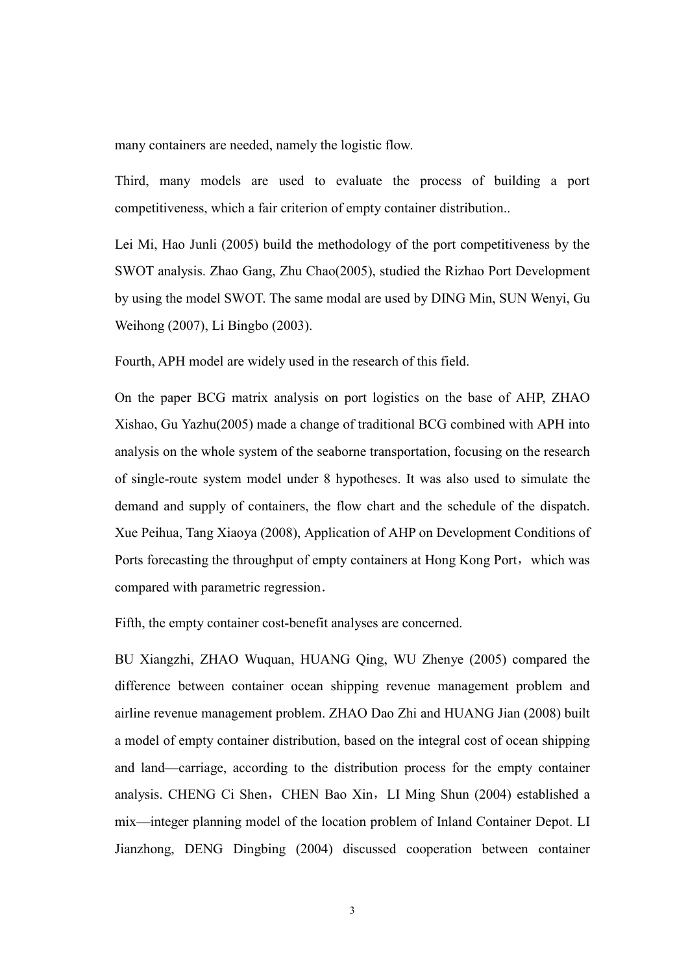many containers are needed, namely the logistic flow.

Third, many models are used to evaluate the process of building a port competitiveness, which a fair criterion of empty container distribution..

Lei Mi, Hao Junli (2005) build the methodology of the port competitiveness by the SWOT analysis. Zhao Gang, Zhu Chao(2005), studied the Rizhao Port Development by using the model SWOT. The same modal are used by DING Min, SUN Wenyi, Gu Weihong (2007), Li Bingbo (2003).

Fourth, APH model are widely used in the research of this field.

On the paper BCG matrix analysis on port logistics on the base of AHP, ZHAO Xishao, Gu Yazhu(2005) made a change of traditional BCG combined with APH into analysis on the whole system of the seaborne transportation, focusing on the research of single-route system model under 8 hypotheses. It was also used to simulate the demand and supply of containers, the flow chart and the schedule of the dispatch. Xue Peihua, Tang Xiaoya (2008), Application of AHP on Development Conditions of Ports forecasting the throughput of empty containers at Hong Kong Port, which was compared with parametric regression.

Fifth, the empty container cost-benefit analyses are concerned.

BU Xiangzhi, ZHAO Wuquan, HUANG Qing, WU Zhenye (2005) compared the difference between container ocean shipping revenue management problem and airline revenue management problem. ZHAO Dao Zhi and HUANG Jian (2008) built a model of empty container distribution, based on the integral cost of ocean shipping and land—carriage, according to the distribution process for the empty container analysis. CHENG Ci Shen, CHEN Bao Xin, LI Ming Shun (2004) established a mix—integer planning model of the location problem of Inland Container Depot. LI Jianzhong, DENG Dingbing (2004) discussed cooperation between container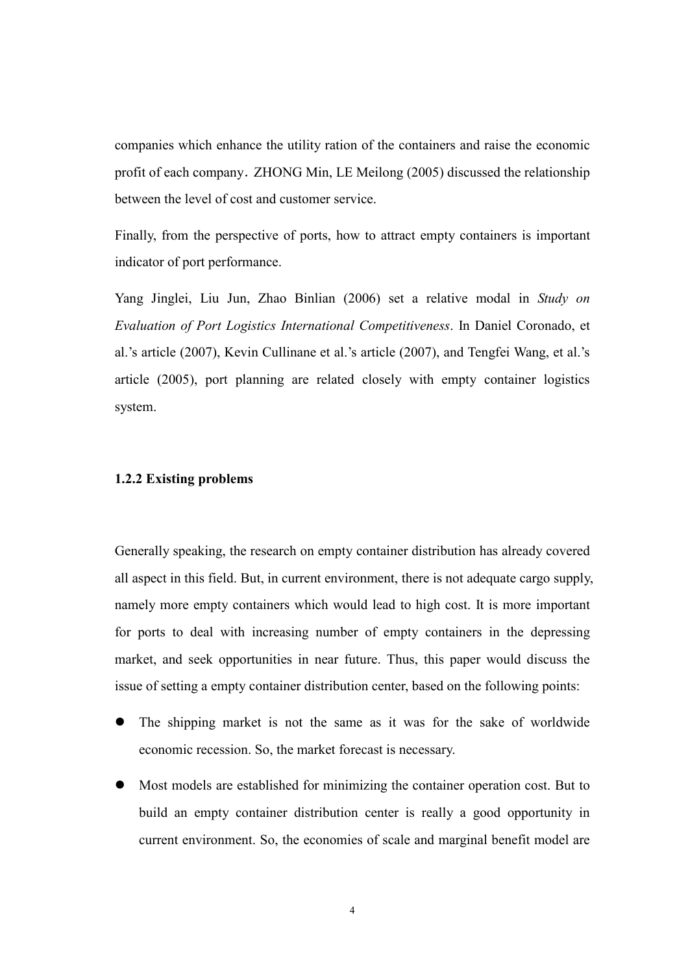companies which enhance the utility ration of the containers and raise the economic profit of each company.ZHONG Min, LE Meilong (2005) discussed the relationship between the level of cost and customer service.

Finally, from the perspective of ports, how to attract empty containers is important indicator of port performance.

Yang Jinglei, Liu Jun, Zhao Binlian (2006) set a relative modal in Study on Evaluation of Port Logistics International Competitiveness. In Daniel Coronado, et al.'s article (2007), Kevin Cullinane et al.'s article (2007), and Tengfei Wang, et al.'s article (2005), port planning are related closely with empty container logistics system.

### 1.2.2 Existing problems

Generally speaking, the research on empty container distribution has already covered all aspect in this field. But, in current environment, there is not adequate cargo supply, namely more empty containers which would lead to high cost. It is more important for ports to deal with increasing number of empty containers in the depressing market, and seek opportunities in near future. Thus, this paper would discuss the issue of setting a empty container distribution center, based on the following points:

- The shipping market is not the same as it was for the sake of worldwide economic recession. So, the market forecast is necessary.
- Most models are established for minimizing the container operation cost. But to build an empty container distribution center is really a good opportunity in current environment. So, the economies of scale and marginal benefit model are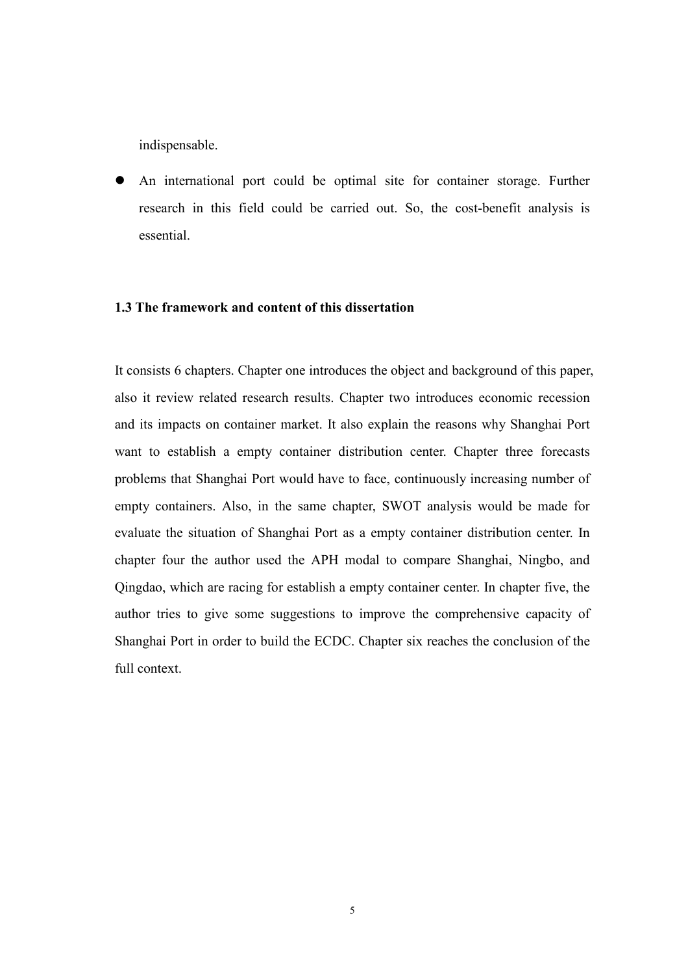indispensable.

 An international port could be optimal site for container storage. Further research in this field could be carried out. So, the cost-benefit analysis is essential.

### 1.3 The framework and content of this dissertation

It consists 6 chapters. Chapter one introduces the object and background of this paper, also it review related research results. Chapter two introduces economic recession and its impacts on container market. It also explain the reasons why Shanghai Port want to establish a empty container distribution center. Chapter three forecasts problems that Shanghai Port would have to face, continuously increasing number of empty containers. Also, in the same chapter, SWOT analysis would be made for evaluate the situation of Shanghai Port as a empty container distribution center. In chapter four the author used the APH modal to compare Shanghai, Ningbo, and Qingdao, which are racing for establish a empty container center. In chapter five, the author tries to give some suggestions to improve the comprehensive capacity of Shanghai Port in order to build the ECDC. Chapter six reaches the conclusion of the full context.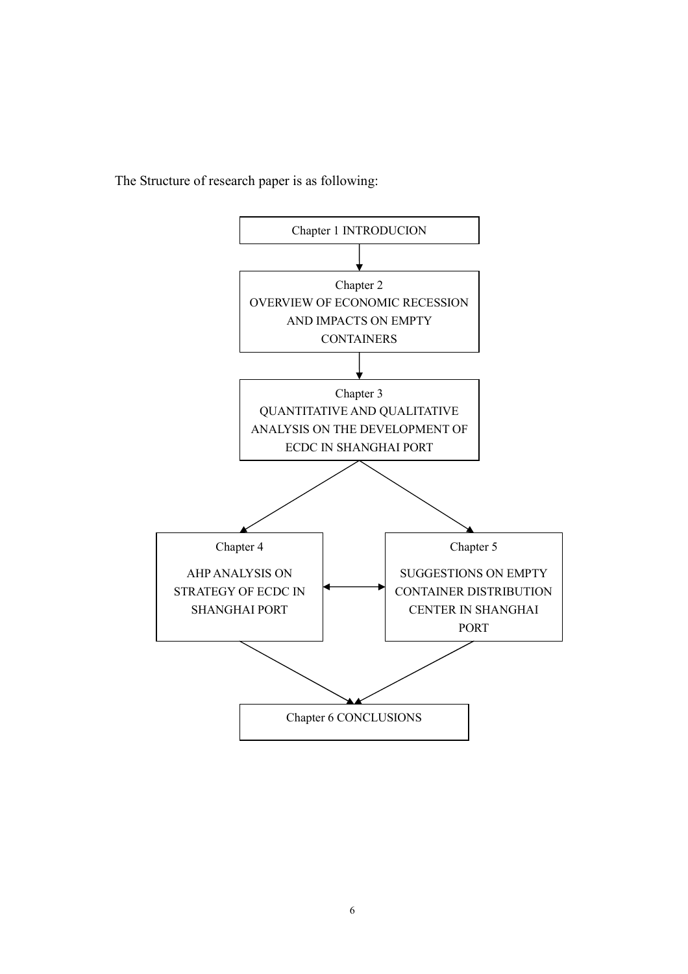The Structure of research paper is as following:

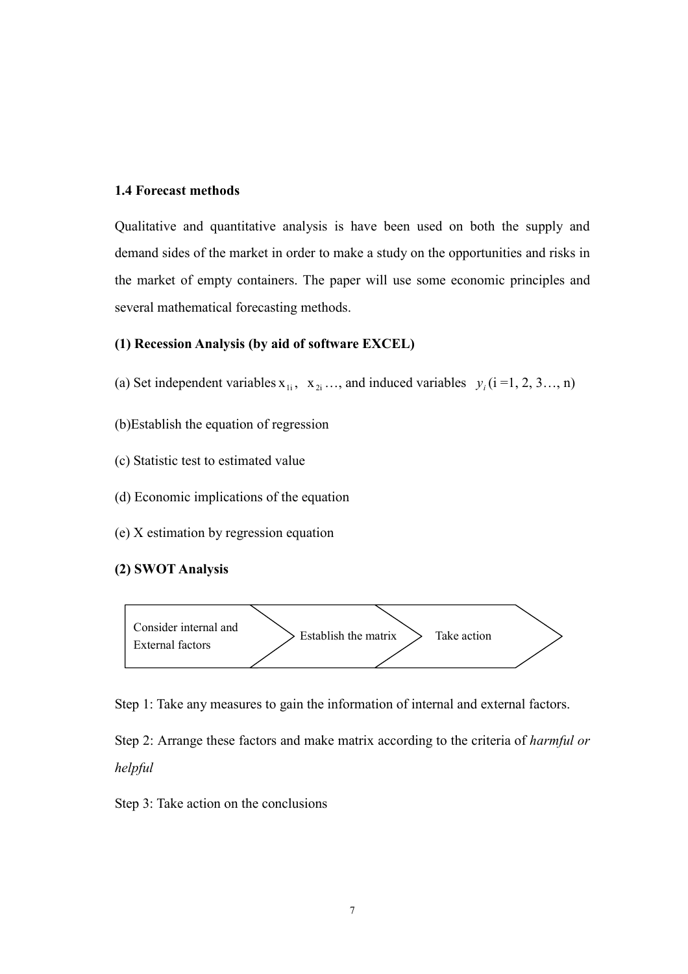### 1.4 Forecast methods

Qualitative and quantitative analysis is have been used on both the supply and demand sides of the market in order to make a study on the opportunities and risks in the market of empty containers. The paper will use some economic principles and several mathematical forecasting methods.

### (1) Recession Analysis (by aid of software EXCEL)

- (a) Set independent variables  $x_{1i}$ ,  $x_{2i}$  ..., and induced variables  $y_i$  (i =1, 2, 3..., n)
- (b)Establish the equation of regression
- (c) Statistic test to estimated value
- (d) Economic implications of the equation
- (e) X estimation by regression equation

## (2) SWOT Analysis



Step 1: Take any measures to gain the information of internal and external factors.

Step 2: Arrange these factors and make matrix according to the criteria of harmful or helpful

Step 3: Take action on the conclusions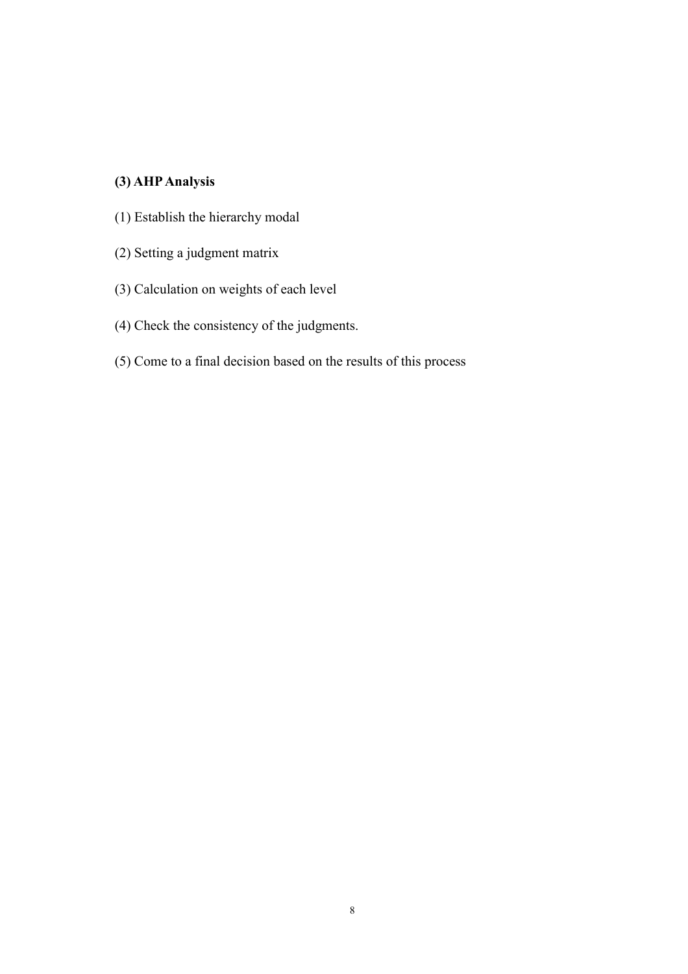# (3) AHP Analysis

- (1) Establish the hierarchy modal
- (2) Setting a judgment matrix
- (3) Calculation on weights of each level
- (4) Check the consistency of the judgments.
- (5) Come to a final decision based on the results of this process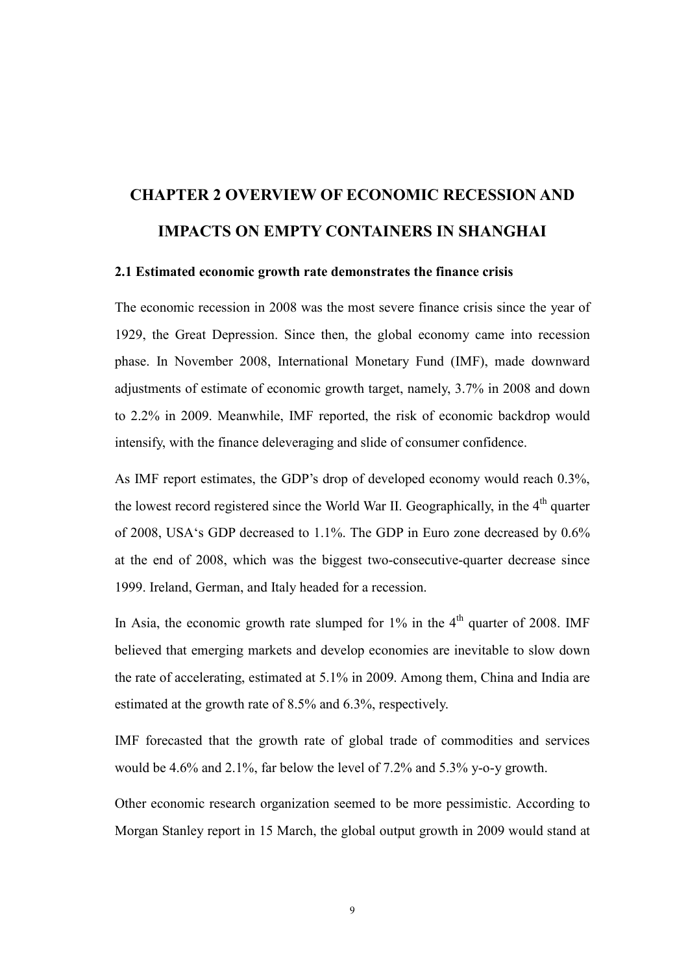# CHAPTER 2 OVERVIEW OF ECONOMIC RECESSION AND IMPACTS ON EMPTY CONTAINERS IN SHANGHAI

### 2.1 Estimated economic growth rate demonstrates the finance crisis

The economic recession in 2008 was the most severe finance crisis since the year of 1929, the Great Depression. Since then, the global economy came into recession phase. In November 2008, International Monetary Fund (IMF), made downward adjustments of estimate of economic growth target, namely, 3.7% in 2008 and down to 2.2% in 2009. Meanwhile, IMF reported, the risk of economic backdrop would intensify, with the finance deleveraging and slide of consumer confidence.

As IMF report estimates, the GDP's drop of developed economy would reach 0.3%, the lowest record registered since the World War II. Geographically, in the 4<sup>th</sup> quarter of 2008, USA's GDP decreased to 1.1%. The GDP in Euro zone decreased by 0.6% at the end of 2008, which was the biggest two-consecutive-quarter decrease since 1999. Ireland, German, and Italy headed for a recession.

In Asia, the economic growth rate slumped for  $1\%$  in the  $4<sup>th</sup>$  quarter of 2008. IMF believed that emerging markets and develop economies are inevitable to slow down the rate of accelerating, estimated at 5.1% in 2009. Among them, China and India are estimated at the growth rate of 8.5% and 6.3%, respectively.

IMF forecasted that the growth rate of global trade of commodities and services would be 4.6% and 2.1%, far below the level of 7.2% and 5.3% y-o-y growth.

Other economic research organization seemed to be more pessimistic. According to Morgan Stanley report in 15 March, the global output growth in 2009 would stand at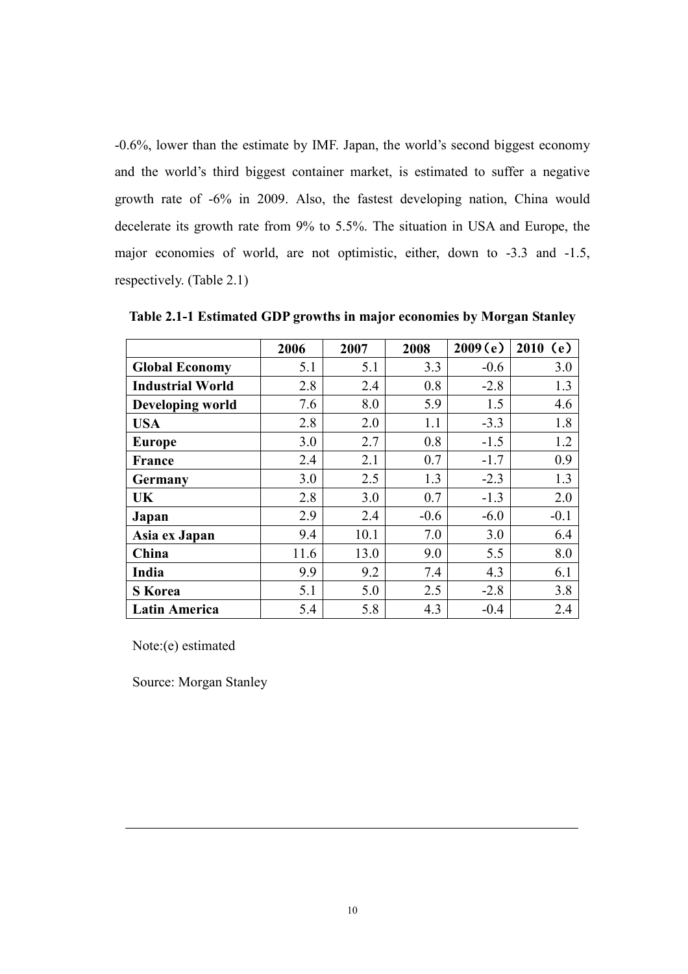-0.6%, lower than the estimate by IMF. Japan, the world's second biggest economy and the world's third biggest container market, is estimated to suffer a negative growth rate of -6% in 2009. Also, the fastest developing nation, China would decelerate its growth rate from 9% to 5.5%. The situation in USA and Europe, the major economies of world, are not optimistic, either, down to -3.3 and -1.5, respectively. (Table 2.1)

|                         | 2006 | 2007 | 2008   | 2009(e) | 2010(e) |
|-------------------------|------|------|--------|---------|---------|
| <b>Global Economy</b>   | 5.1  | 5.1  | 3.3    | $-0.6$  | 3.0     |
| <b>Industrial World</b> | 2.8  | 2.4  | 0.8    | $-2.8$  | 1.3     |
| Developing world        | 7.6  | 8.0  | 5.9    | 1.5     | 4.6     |
| <b>USA</b>              | 2.8  | 2.0  | 1.1    | $-3.3$  | 1.8     |
| <b>Europe</b>           | 3.0  | 2.7  | 0.8    | $-1.5$  | 1.2     |
| France                  | 2.4  | 2.1  | 0.7    | $-1.7$  | 0.9     |
| Germany                 | 3.0  | 2.5  | 1.3    | $-2.3$  | 1.3     |
| UK                      | 2.8  | 3.0  | 0.7    | $-1.3$  | 2.0     |
| Japan                   | 2.9  | 2.4  | $-0.6$ | $-6.0$  | $-0.1$  |
| Asia ex Japan           | 9.4  | 10.1 | 7.0    | 3.0     | 6.4     |
| China                   | 11.6 | 13.0 | 9.0    | 5.5     | 8.0     |
| India                   | 9.9  | 9.2  | 7.4    | 4.3     | 6.1     |
| <b>S</b> Korea          | 5.1  | 5.0  | 2.5    | $-2.8$  | 3.8     |
| <b>Latin America</b>    | 5.4  | 5.8  | 4.3    | $-0.4$  | 2.4     |

Table 2.1-1 Estimated GDP growths in major economies by Morgan Stanley

Note:(e) estimated

Source: Morgan Stanley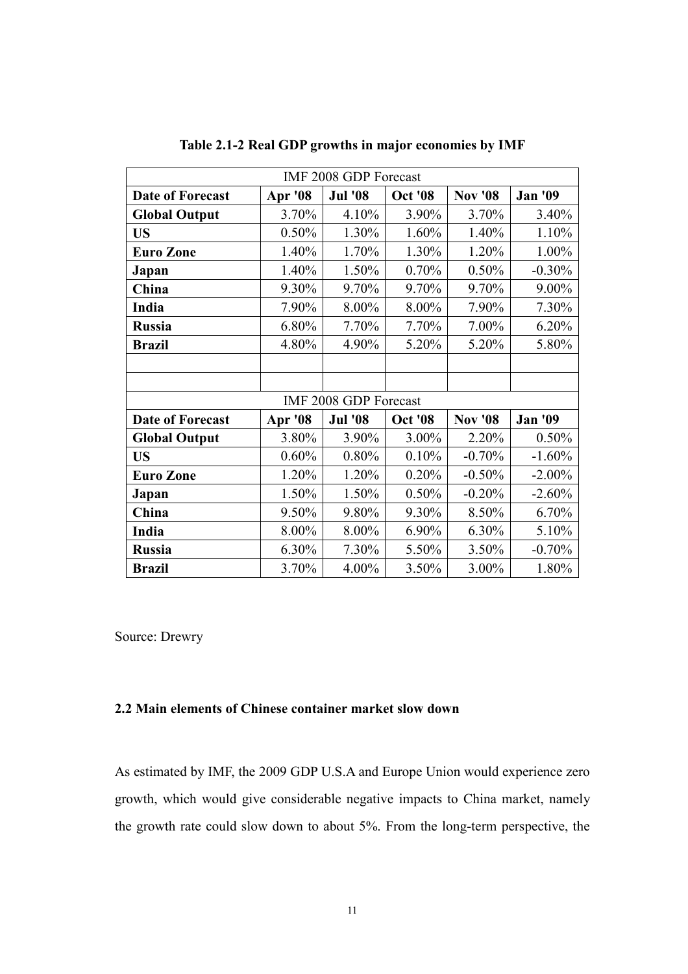| IMF 2008 GDP Forecast   |         |                |                |                |                |
|-------------------------|---------|----------------|----------------|----------------|----------------|
| <b>Date of Forecast</b> | Apr '08 | <b>Jul '08</b> | <b>Oct '08</b> | <b>Nov '08</b> | <b>Jan '09</b> |
| <b>Global Output</b>    | 3.70%   | 4.10%          | 3.90%          | 3.70%          | 3.40%          |
| <b>US</b>               | 0.50%   | 1.30%          | 1.60%          | 1.40%          | 1.10%          |
| <b>Euro Zone</b>        | 1.40%   | 1.70%          | 1.30%          | 1.20%          | 1.00%          |
| Japan                   | 1.40%   | 1.50%          | 0.70%          | 0.50%          | $-0.30%$       |
| China                   | 9.30%   | 9.70%          | 9.70%          | 9.70%          | 9.00%          |
| India                   | 7.90%   | 8.00%          | 8.00%          | 7.90%          | 7.30%          |
| <b>Russia</b>           | 6.80%   | 7.70%          | 7.70%          | $7.00\%$       | 6.20%          |
| <b>Brazil</b>           | 4.80%   | 4.90%          | 5.20%          | 5.20%          | 5.80%          |
|                         |         |                |                |                |                |
|                         |         |                |                |                |                |
| IMF 2008 GDP Forecast   |         |                |                |                |                |
| <b>Date of Forecast</b> | Apr '08 | <b>Jul '08</b> | <b>Oct '08</b> | <b>Nov</b> '08 | <b>Jan '09</b> |
| <b>Global Output</b>    | 3.80%   | 3.90%          | 3.00%          | 2.20%          | 0.50%          |
| <b>US</b>               | 0.60%   | 0.80%          | 0.10%          | $-0.70%$       | $-1.60%$       |
| <b>Euro Zone</b>        | 1.20%   | 1.20%          | 0.20%          | $-0.50%$       | $-2.00\%$      |
| Japan                   | 1.50%   | 1.50%          | 0.50%          | $-0.20%$       | $-2.60%$       |
| China                   | 9.50%   | 9.80%          | 9.30%          | 8.50%          | 6.70%          |
| India                   | 8.00%   | 8.00%          | 6.90%          | 6.30%          | 5.10%          |
| <b>Russia</b>           | 6.30%   | 7.30%          | 5.50%          | 3.50%          | $-0.70%$       |
| <b>Brazil</b>           | 3.70%   | 4.00%          | 3.50%          | $3.00\%$       | 1.80%          |

Table 2.1-2 Real GDP growths in major economies by IMF

Source: Drewry

### 2.2 Main elements of Chinese container market slow down

As estimated by IMF, the 2009 GDP U.S.A and Europe Union would experience zero growth, which would give considerable negative impacts to China market, namely the growth rate could slow down to about 5%. From the long-term perspective, the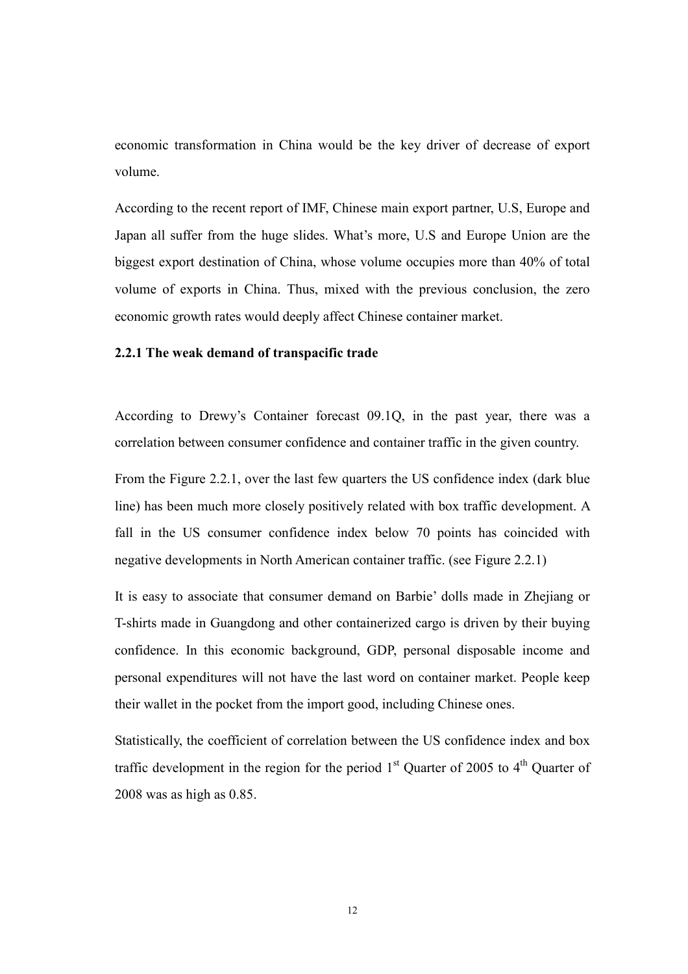economic transformation in China would be the key driver of decrease of export volume.

According to the recent report of IMF, Chinese main export partner, U.S, Europe and Japan all suffer from the huge slides. What's more, U.S and Europe Union are the biggest export destination of China, whose volume occupies more than 40% of total volume of exports in China. Thus, mixed with the previous conclusion, the zero economic growth rates would deeply affect Chinese container market.

### 2.2.1 The weak demand of transpacific trade

According to Drewy's Container forecast 09.1Q, in the past year, there was a correlation between consumer confidence and container traffic in the given country.

From the Figure 2.2.1, over the last few quarters the US confidence index (dark blue line) has been much more closely positively related with box traffic development. A fall in the US consumer confidence index below 70 points has coincided with negative developments in North American container traffic. (see Figure 2.2.1)

It is easy to associate that consumer demand on Barbie' dolls made in Zhejiang or T-shirts made in Guangdong and other containerized cargo is driven by their buying confidence. In this economic background, GDP, personal disposable income and personal expenditures will not have the last word on container market. People keep their wallet in the pocket from the import good, including Chinese ones.

Statistically, the coefficient of correlation between the US confidence index and box traffic development in the region for the period  $1<sup>st</sup>$  Quarter of 2005 to  $4<sup>th</sup>$  Quarter of 2008 was as high as 0.85.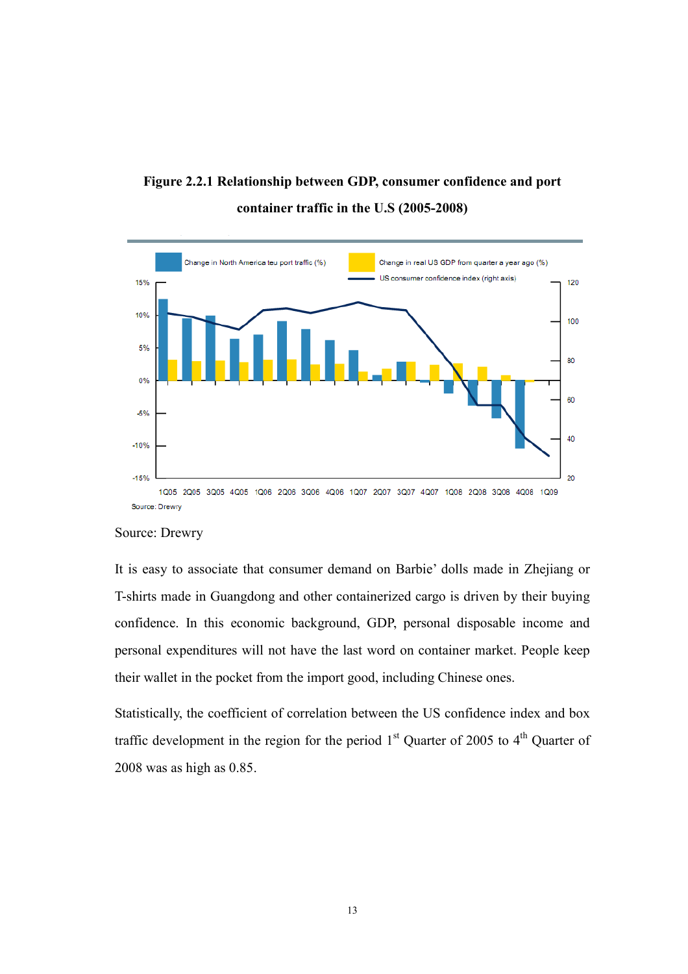



### Source: Drewry

It is easy to associate that consumer demand on Barbie' dolls made in Zhejiang or T-shirts made in Guangdong and other containerized cargo is driven by their buying confidence. In this economic background, GDP, personal disposable income and personal expenditures will not have the last word on container market. People keep their wallet in the pocket from the import good, including Chinese ones.

Statistically, the coefficient of correlation between the US confidence index and box traffic development in the region for the period  $1<sup>st</sup>$  Quarter of 2005 to  $4<sup>th</sup>$  Quarter of 2008 was as high as 0.85.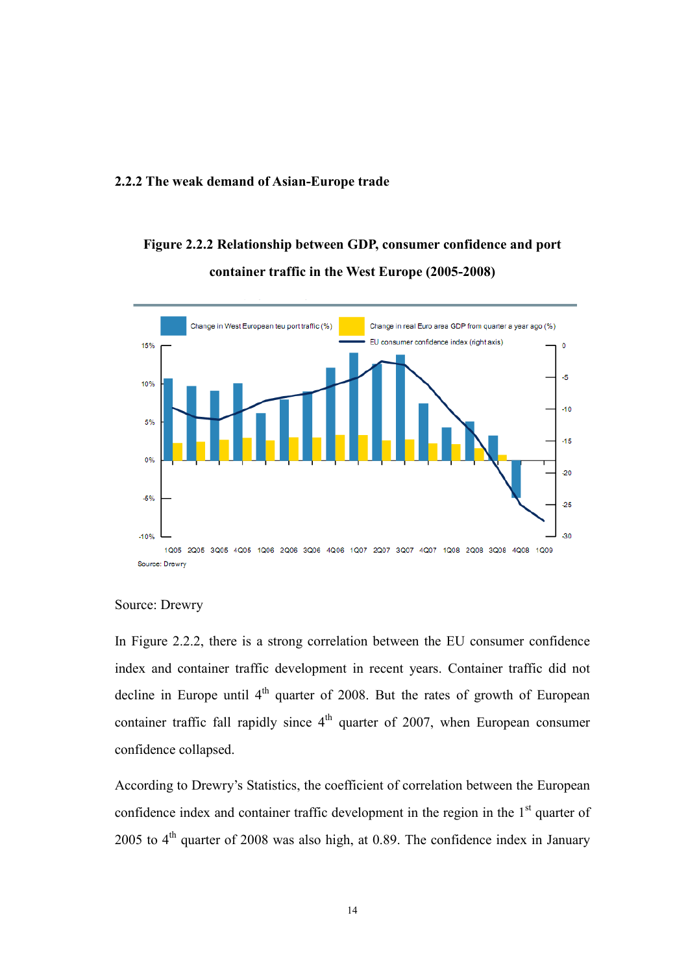#### 2.2.2 The weak demand of Asian-Europe trade

# Figure 2.2.2 Relationship between GDP, consumer confidence and port container traffic in the West Europe (2005-2008)



### Source: Drewry

In Figure 2.2.2, there is a strong correlation between the EU consumer confidence index and container traffic development in recent years. Container traffic did not decline in Europe until  $4<sup>th</sup>$  quarter of 2008. But the rates of growth of European container traffic fall rapidly since  $4<sup>th</sup>$  quarter of 2007, when European consumer confidence collapsed.

According to Drewry's Statistics, the coefficient of correlation between the European confidence index and container traffic development in the region in the  $1<sup>st</sup>$  quarter of 2005 to  $4<sup>th</sup>$  quarter of 2008 was also high, at 0.89. The confidence index in January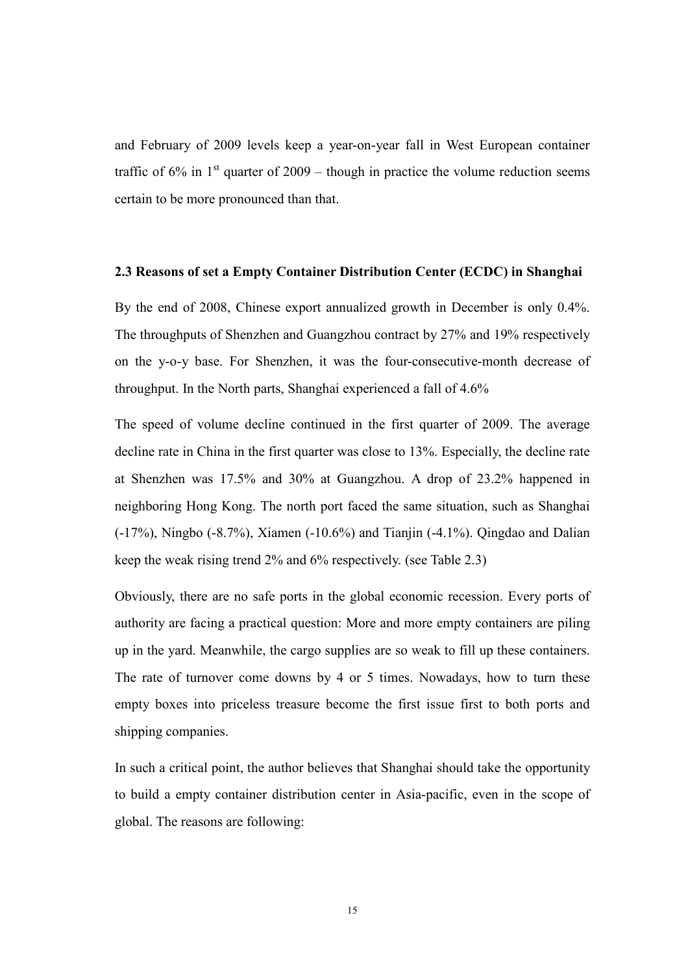and February of 2009 levels keep a year-on-year fall in West European container traffic of  $6\%$  in  $1<sup>st</sup>$  quarter of  $2009$  – though in practice the volume reduction seems certain to be more pronounced than that.

#### 2.3 Reasons of set a Empty Container Distribution Center (ECDC) in Shanghai

By the end of 2008, Chinese export annualized growth in December is only 0.4%. The throughputs of Shenzhen and Guangzhou contract by 27% and 19% respectively on the y-o-y base. For Shenzhen, it was the four-consecutive-month decrease of throughput. In the North parts, Shanghai experienced a fall of 4.6%

The speed of volume decline continued in the first quarter of 2009. The average decline rate in China in the first quarter was close to 13%. Especially, the decline rate at Shenzhen was 17.5% and 30% at Guangzhou. A drop of 23.2% happened in neighboring Hong Kong. The north port faced the same situation, such as Shanghai (-17%), Ningbo (-8.7%), Xiamen (-10.6%) and Tianjin (-4.1%). Qingdao and Dalian keep the weak rising trend 2% and 6% respectively. (see Table 2.3)

Obviously, there are no safe ports in the global economic recession. Every ports of authority are facing a practical question: More and more empty containers are piling up in the yard. Meanwhile, the cargo supplies are so weak to fill up these containers. The rate of turnover come downs by 4 or 5 times. Nowadays, how to turn these empty boxes into priceless treasure become the first issue first to both ports and shipping companies.

In such a critical point, the author believes that Shanghai should take the opportunity to build a empty container distribution center in Asia-pacific, even in the scope of global. The reasons are following: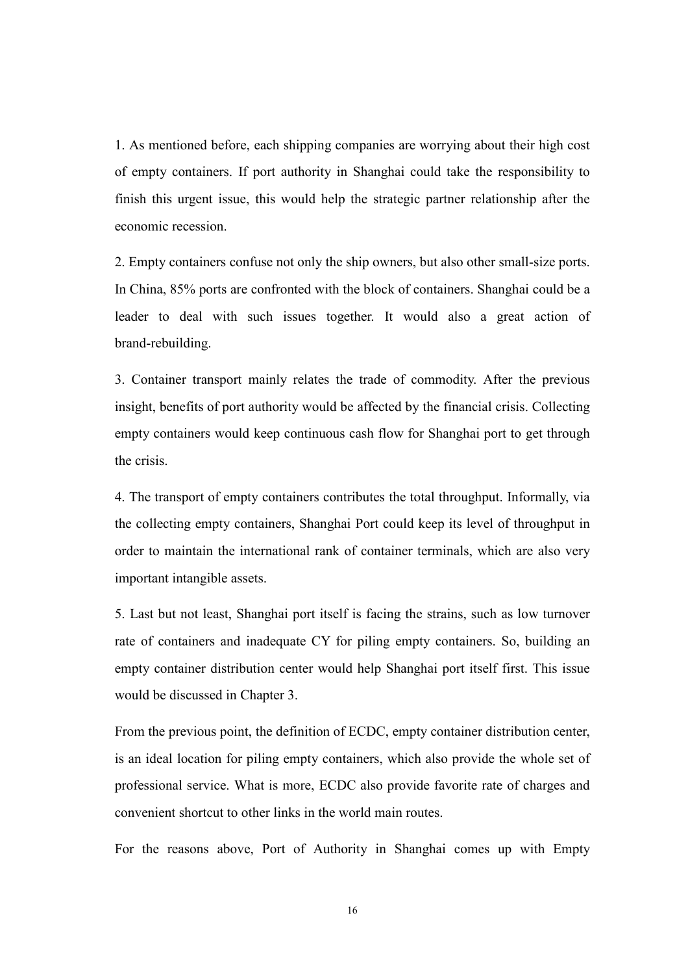1. As mentioned before, each shipping companies are worrying about their high cost of empty containers. If port authority in Shanghai could take the responsibility to finish this urgent issue, this would help the strategic partner relationship after the economic recession.

2. Empty containers confuse not only the ship owners, but also other small-size ports. In China, 85% ports are confronted with the block of containers. Shanghai could be a leader to deal with such issues together. It would also a great action of brand-rebuilding.

3. Container transport mainly relates the trade of commodity. After the previous insight, benefits of port authority would be affected by the financial crisis. Collecting empty containers would keep continuous cash flow for Shanghai port to get through the crisis.

4. The transport of empty containers contributes the total throughput. Informally, via the collecting empty containers, Shanghai Port could keep its level of throughput in order to maintain the international rank of container terminals, which are also very important intangible assets.

5. Last but not least, Shanghai port itself is facing the strains, such as low turnover rate of containers and inadequate CY for piling empty containers. So, building an empty container distribution center would help Shanghai port itself first. This issue would be discussed in Chapter 3.

From the previous point, the definition of ECDC, empty container distribution center, is an ideal location for piling empty containers, which also provide the whole set of professional service. What is more, ECDC also provide favorite rate of charges and convenient shortcut to other links in the world main routes.

For the reasons above, Port of Authority in Shanghai comes up with Empty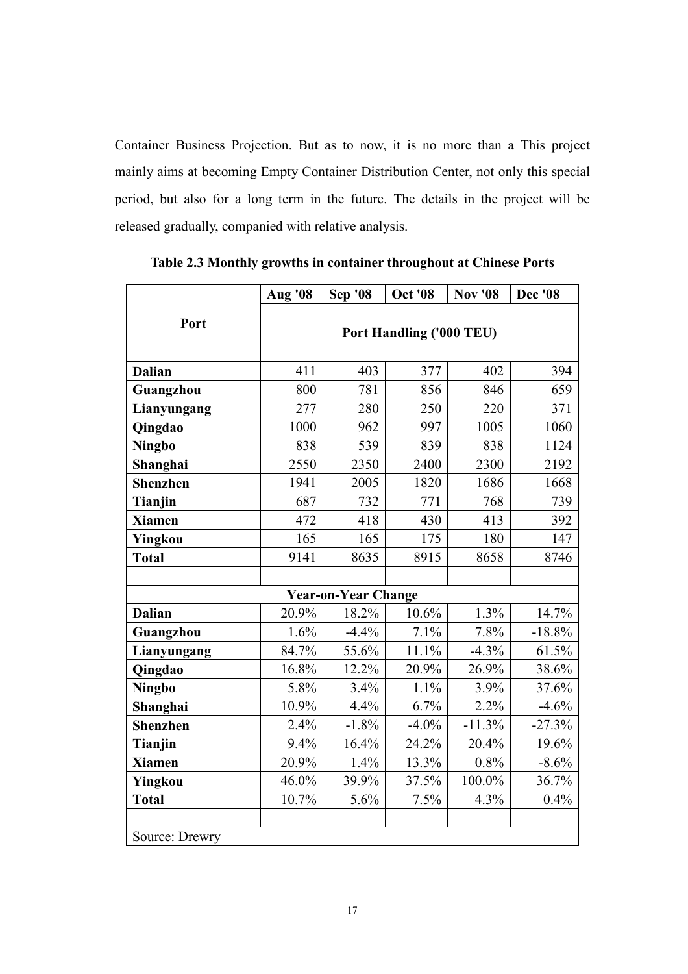Container Business Projection. But as to now, it is no more than a This project mainly aims at becoming Empty Container Distribution Center, not only this special period, but also for a long term in the future. The details in the project will be released gradually, companied with relative analysis.

|                 | <b>Aug</b> '08           | <b>Sep '08</b>             | <b>Oct '08</b> | <b>Nov '08</b> | <b>Dec</b> '08 |
|-----------------|--------------------------|----------------------------|----------------|----------------|----------------|
| Port            | Port Handling ('000 TEU) |                            |                |                |                |
| <b>Dalian</b>   | 411                      | 403                        | 377            | 402            | 394            |
| Guangzhou       | 800                      | 781                        | 856            | 846            | 659            |
| Lianyungang     | 277                      | 280                        | 250            | 220            | 371            |
| Qingdao         | 1000                     | 962                        | 997            | 1005           | 1060           |
| <b>Ningbo</b>   | 838                      | 539                        | 839            | 838            | 1124           |
| Shanghai        | 2550                     | 2350                       | 2400           | 2300           | 2192           |
| <b>Shenzhen</b> | 1941                     | 2005                       | 1820           | 1686           | 1668           |
| Tianjin         | 687                      | 732                        | 771            | 768            | 739            |
| <b>Xiamen</b>   | 472                      | 418                        | 430            | 413            | 392            |
| Yingkou         | 165                      | 165                        | 175            | 180            | 147            |
| <b>Total</b>    | 9141                     | 8635                       | 8915           | 8658           | 8746           |
|                 |                          |                            |                |                |                |
|                 |                          | <b>Year-on-Year Change</b> |                |                |                |
| <b>Dalian</b>   | 20.9%                    | 18.2%                      | 10.6%          | 1.3%           | 14.7%          |
| Guangzhou       | 1.6%                     | $-4.4%$                    | 7.1%           | 7.8%           | $-18.8%$       |
| Lianyungang     | 84.7%                    | 55.6%                      | 11.1%          | $-4.3%$        | 61.5%          |
| Qingdao         | 16.8%                    | 12.2%                      | 20.9%          | 26.9%          | 38.6%          |
| <b>Ningbo</b>   | 5.8%                     | 3.4%                       | 1.1%           | 3.9%           | 37.6%          |
| Shanghai        | 10.9%                    | 4.4%                       | 6.7%           | 2.2%           | $-4.6%$        |
| <b>Shenzhen</b> | 2.4%                     | $-1.8%$                    | $-4.0\%$       | $-11.3%$       | $-27.3%$       |
| Tianjin         | 9.4%                     | 16.4%                      | 24.2%          | 20.4%          | 19.6%          |
| <b>Xiamen</b>   | 20.9%                    | 1.4%                       | 13.3%          | 0.8%           | $-8.6%$        |
| Yingkou         | 46.0%                    | 39.9%                      | 37.5%          | 100.0%         | 36.7%          |
| <b>Total</b>    | 10.7%                    | 5.6%                       | 7.5%           | 4.3%           | 0.4%           |
|                 |                          |                            |                |                |                |
| Source: Drewry  |                          |                            |                |                |                |

Table 2.3 Monthly growths in container throughout at Chinese Ports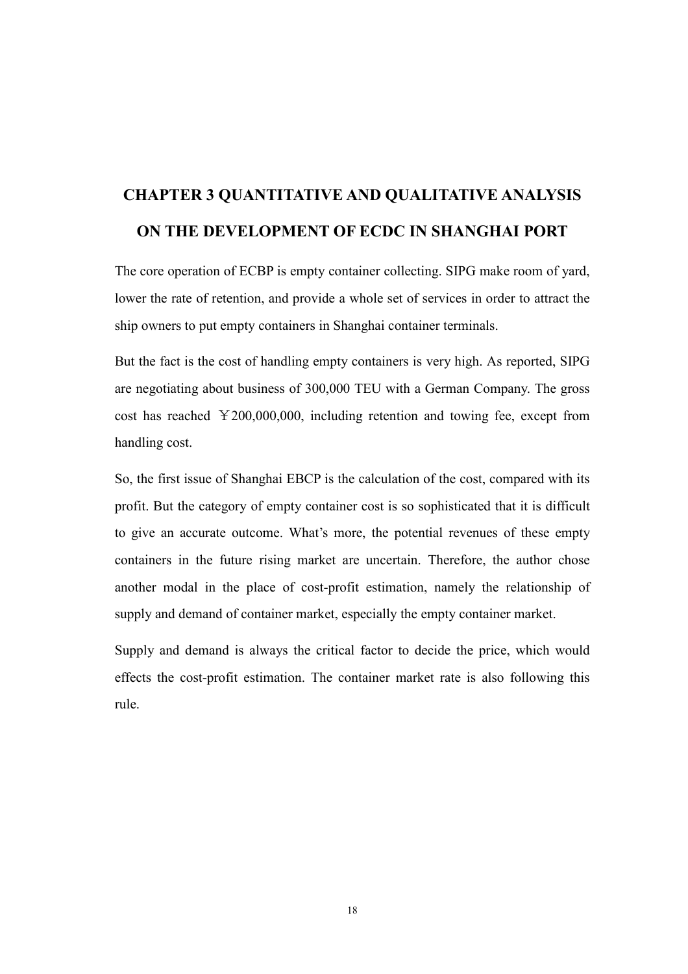# CHAPTER 3 QUANTITATIVE AND QUALITATIVE ANALYSIS ON THE DEVELOPMENT OF ECDC IN SHANGHAI PORT

The core operation of ECBP is empty container collecting. SIPG make room of yard, lower the rate of retention, and provide a whole set of services in order to attract the ship owners to put empty containers in Shanghai container terminals.

But the fact is the cost of handling empty containers is very high. As reported, SIPG are negotiating about business of 300,000 TEU with a German Company. The gross cost has reached ¥200,000,000, including retention and towing fee, except from handling cost.

So, the first issue of Shanghai EBCP is the calculation of the cost, compared with its profit. But the category of empty container cost is so sophisticated that it is difficult to give an accurate outcome. What's more, the potential revenues of these empty containers in the future rising market are uncertain. Therefore, the author chose another modal in the place of cost-profit estimation, namely the relationship of supply and demand of container market, especially the empty container market.

Supply and demand is always the critical factor to decide the price, which would effects the cost-profit estimation. The container market rate is also following this rule.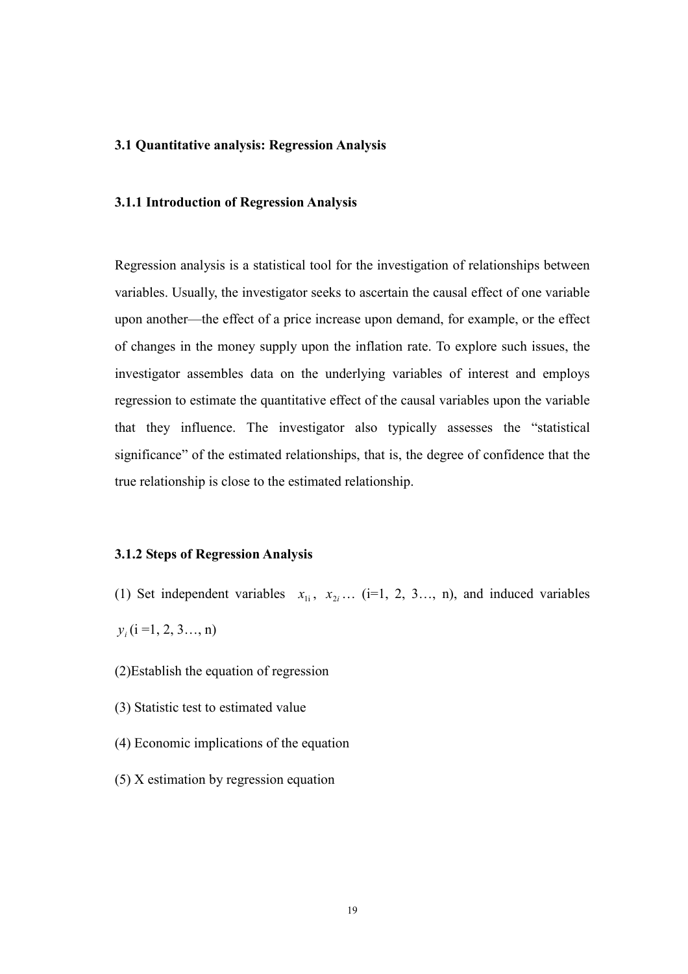#### 3.1 Quantitative analysis: Regression Analysis

### 3.1.1 Introduction of Regression Analysis

Regression analysis is a statistical tool for the investigation of relationships between variables. Usually, the investigator seeks to ascertain the causal effect of one variable upon another—the effect of a price increase upon demand, for example, or the effect of changes in the money supply upon the inflation rate. To explore such issues, the investigator assembles data on the underlying variables of interest and employs regression to estimate the quantitative effect of the causal variables upon the variable that they influence. The investigator also typically assesses the "statistical significance" of the estimated relationships, that is, the degree of confidence that the true relationship is close to the estimated relationship.

### 3.1.2 Steps of Regression Analysis

- (1) Set independent variables  $x_{1i}$ ,  $x_{2i}$  ... (i=1, 2, 3..., n), and induced variables
- $y_i$  (i =1, 2, 3..., n)
- (2)Establish the equation of regression
- (3) Statistic test to estimated value
- (4) Economic implications of the equation
- (5) X estimation by regression equation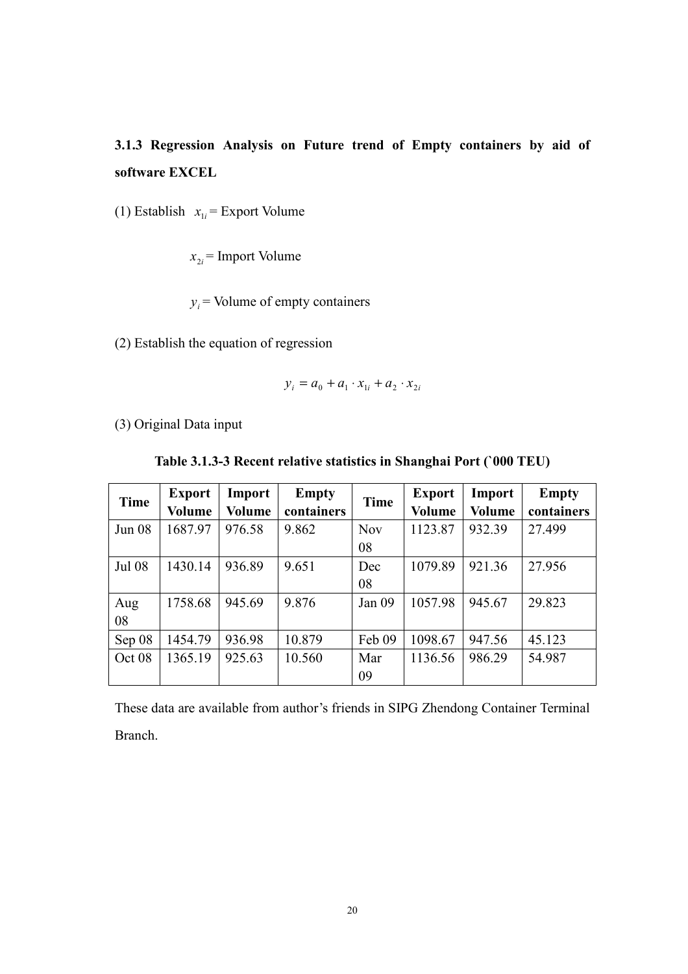# 3.1.3 Regression Analysis on Future trend of Empty containers by aid of software EXCEL

(1) Establish  $x_{1i}$  = Export Volume

 $x_{2i}$  = Import Volume

 $y_i$  = Volume of empty containers

(2) Establish the equation of regression

$$
y_i = a_0 + a_1 \cdot x_{1i} + a_2 \cdot x_{2i}
$$

(3) Original Data input

| <b>Time</b>   | <b>Export</b><br><b>Volume</b> | Import<br>Volume | <b>Empty</b><br>containers | <b>Time</b> | <b>Export</b><br><b>Volume</b> | Import<br><b>Volume</b> | <b>Empty</b><br>containers |
|---------------|--------------------------------|------------------|----------------------------|-------------|--------------------------------|-------------------------|----------------------------|
| <b>Jun 08</b> | 1687.97                        | 976.58           | 9.862                      | <b>Nov</b>  | 1123.87                        | 932.39                  | 27.499                     |
|               |                                |                  |                            | 08          |                                |                         |                            |
| <b>Jul 08</b> | 1430.14                        | 936.89           | 9.651                      | Dec         | 1079.89                        | 921.36                  | 27.956                     |
|               |                                |                  |                            | 08          |                                |                         |                            |
| Aug           | 1758.68                        | 945.69           | 9.876                      | Jan 09      | 1057.98                        | 945.67                  | 29.823                     |
| 08            |                                |                  |                            |             |                                |                         |                            |
| Sep 08        | 1454.79                        | 936.98           | 10.879                     | Feb 09      | 1098.67                        | 947.56                  | 45.123                     |
| Oct 08        | 1365.19                        | 925.63           | 10.560                     | Mar         | 1136.56                        | 986.29                  | 54.987                     |
|               |                                |                  |                            | 09          |                                |                         |                            |

Table 3.1.3-3 Recent relative statistics in Shanghai Port (`000 TEU)

These data are available from author's friends in SIPG Zhendong Container Terminal Branch.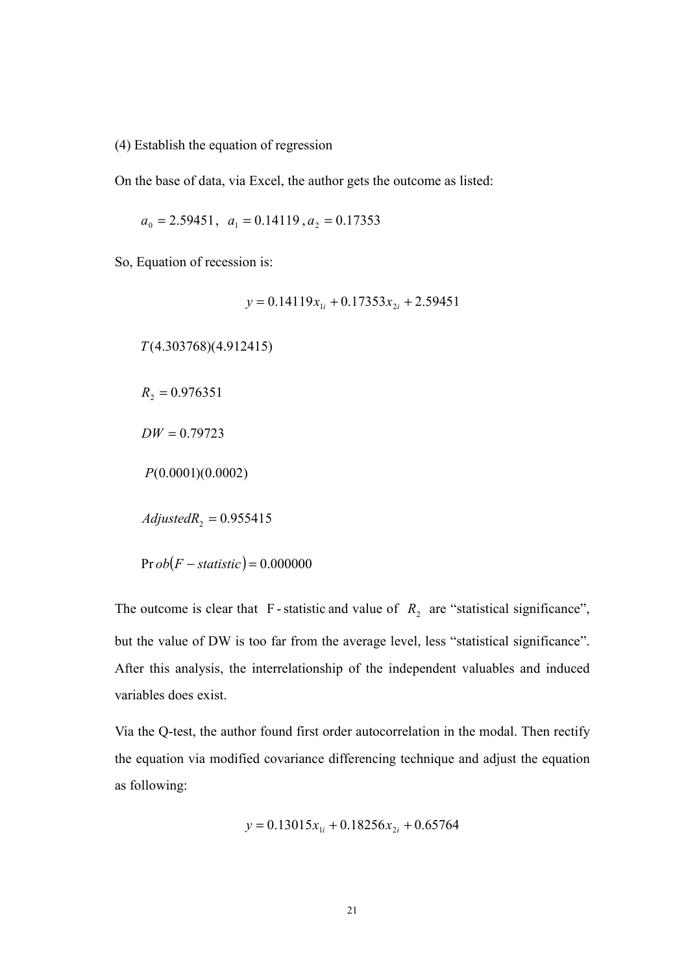(4) Establish the equation of regression

On the base of data, via Excel, the author gets the outcome as listed:

$$
a_0 = 2.59451
$$
,  $a_1 = 0.14119$ ,  $a_2 = 0.17353$ 

So, Equation of recession is:

 $y = 0.14119 x_{1i} + 0.17353 x_{2i} + 2.59451$ 

 $T(4.303768)(4.912415)$ 

 $R_2 = 0.976351$ 

 $DW = 0.79723$ 

 $P(0.0001)(0.0002)$ 

 $AdjustedR<sub>2</sub> = 0.955415$ 

 $\Pr ob(F - statistic) = 0.000000$ 

The outcome is clear that F-statistic and value of  $R_2$  are "statistical significance", but the value of DW is too far from the average level, less "statistical significance". After this analysis, the interrelationship of the independent valuables and induced variables does exist.

Via the Q-test, the author found first order autocorrelation in the modal. Then rectify the equation via modified covariance differencing technique and adjust the equation as following:

$$
y = 0.13015x_{1i} + 0.18256x_{2i} + 0.65764
$$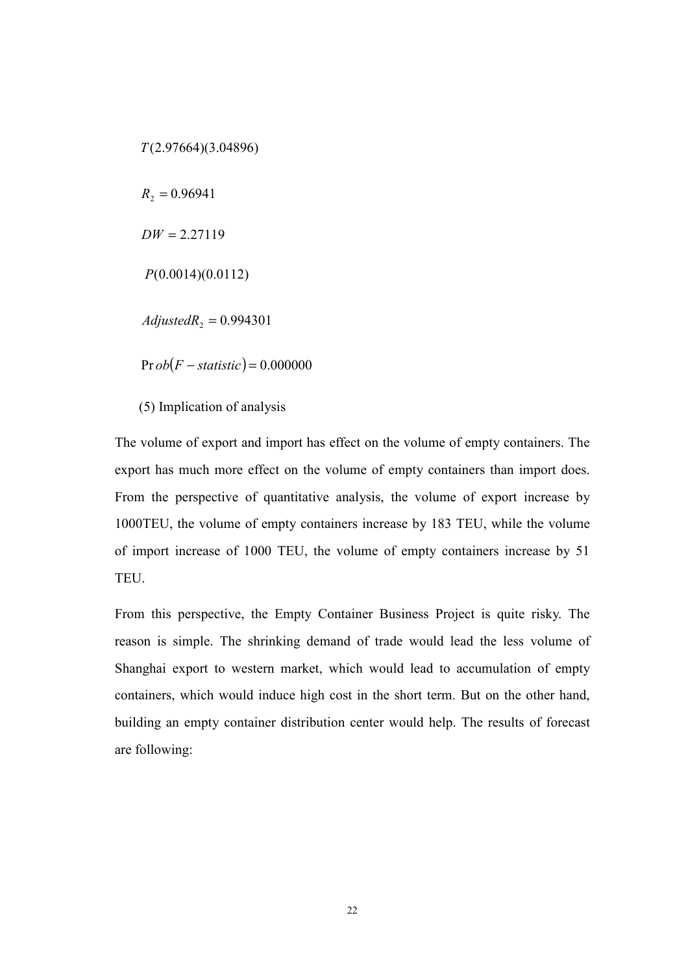$T(2.97664)(3.04896)$  $R_2 = 0.96941$  $DW = 2.27119$  $P(0.0014)(0.0112)$  $AdjustedR<sub>2</sub> = 0.994301$  $\Pr ob(F - statistic) = 0.000000$ 

(5) Implication of analysis

The volume of export and import has effect on the volume of empty containers. The export has much more effect on the volume of empty containers than import does. From the perspective of quantitative analysis, the volume of export increase by 1000TEU, the volume of empty containers increase by 183 TEU, while the volume of import increase of 1000 TEU, the volume of empty containers increase by 51 TEU.

From this perspective, the Empty Container Business Project is quite risky. The reason is simple. The shrinking demand of trade would lead the less volume of Shanghai export to western market, which would lead to accumulation of empty containers, which would induce high cost in the short term. But on the other hand, building an empty container distribution center would help. The results of forecast are following: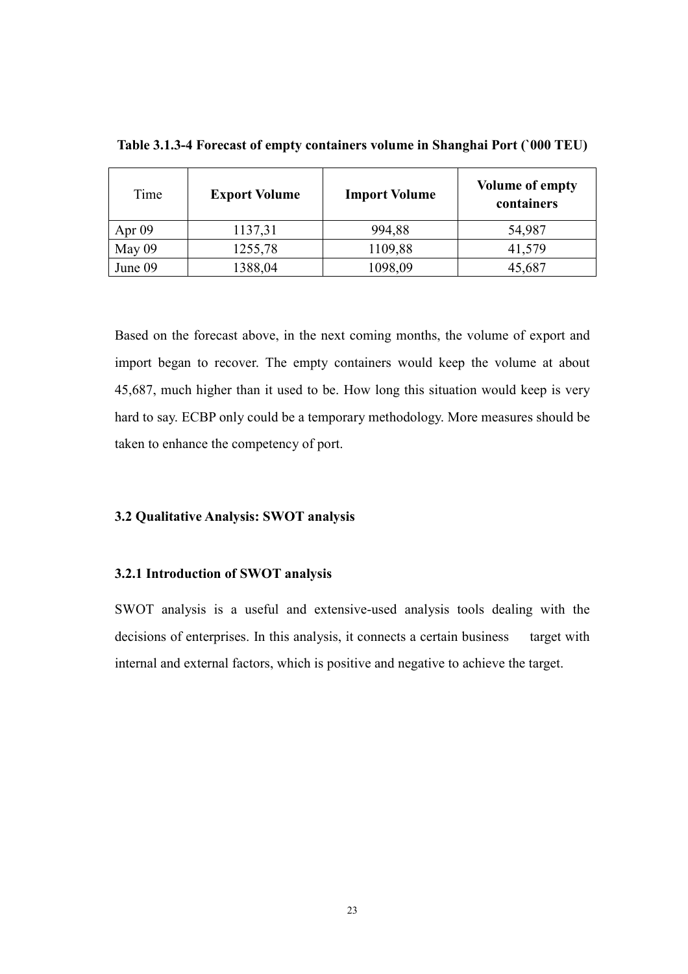| Time     | <b>Export Volume</b> | <b>Import Volume</b> | <b>Volume of empty</b><br>containers |
|----------|----------------------|----------------------|--------------------------------------|
| Apr $09$ | 1137,31              | 994,88               | 54,987                               |
| May 09   | 1255,78              | 1109,88              | 41,579                               |
| June 09  | 1388,04              | 1098,09              | 45,687                               |

Table 3.1.3-4 Forecast of empty containers volume in Shanghai Port (`000 TEU)

Based on the forecast above, in the next coming months, the volume of export and import began to recover. The empty containers would keep the volume at about 45,687, much higher than it used to be. How long this situation would keep is very hard to say. ECBP only could be a temporary methodology. More measures should be taken to enhance the competency of port.

### 3.2 Qualitative Analysis: SWOT analysis

### 3.2.1 Introduction of SWOT analysis

SWOT analysis is a useful and extensive-used analysis tools dealing with the decisions of enterprises. In this analysis, it connects a certain business target with internal and external factors, which is positive and negative to achieve the target.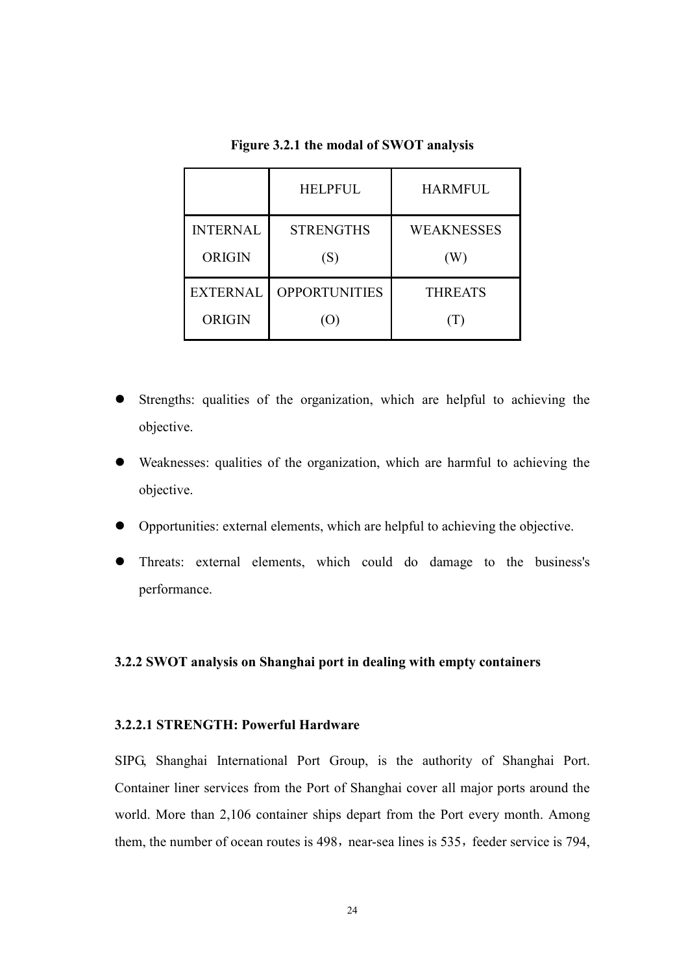|                                  | <b>HELPFUL</b>                    | <b>HARMFUL</b>    |
|----------------------------------|-----------------------------------|-------------------|
| <b>INTERNAL</b><br><b>ORIGIN</b> | <b>STRENGTHS</b><br>(S)           | WEAKNESSES<br>(W) |
| <b>EXTERNAL</b><br><b>ORIGIN</b> | <b>OPPORTUNITIES</b><br>$\lambda$ | <b>THREATS</b>    |

Figure 3.2.1 the modal of SWOT analysis

- Strengths: qualities of the organization, which are helpful to achieving the objective.
- Weaknesses: qualities of the organization, which are harmful to achieving the objective.
- Opportunities: external elements, which are helpful to achieving the objective.
- Threats: external elements, which could do damage to the business's performance.

### 3.2.2 SWOT analysis on Shanghai port in dealing with empty containers

### 3.2.2.1 STRENGTH: Powerful Hardware

SIPG, Shanghai International Port Group, is the authority of Shanghai Port. Container liner services from the Port of Shanghai cover all major ports around the world. More than 2,106 container ships depart from the Port every month. Among them, the number of ocean routes is 498, near-sea lines is 535, feeder service is 794,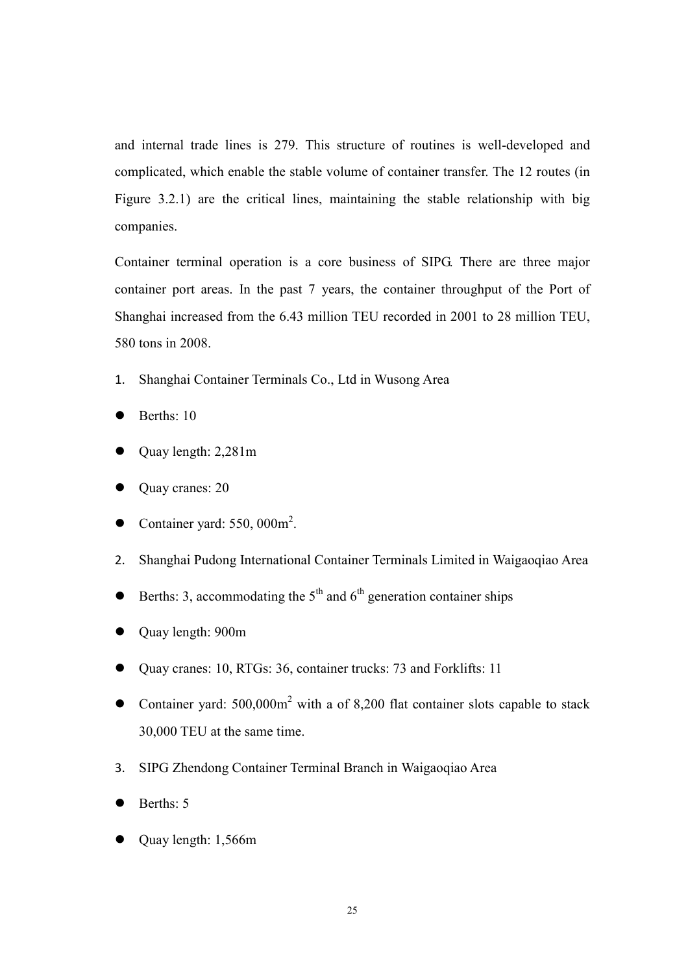and internal trade lines is 279. This structure of routines is well-developed and complicated, which enable the stable volume of container transfer. The 12 routes (in Figure 3.2.1) are the critical lines, maintaining the stable relationship with big companies.

Container terminal operation is a core business of SIPG. There are three major container port areas. In the past 7 years, the container throughput of the Port of Shanghai increased from the 6.43 million TEU recorded in 2001 to 28 million TEU, 580 tons in 2008.

- 1. Shanghai Container Terminals Co., Ltd in Wusong Area
- Berths: 10
- Quay length: 2,281m
- Quay cranes: 20
- Container yard:  $550,000$ m<sup>2</sup>.
- 2. Shanghai Pudong International Container Terminals Limited in Waigaoqiao Area
- $\bullet$  Berths: 3, accommodating the 5<sup>th</sup> and 6<sup>th</sup> generation container ships
- Quay length: 900m
- Quay cranes: 10, RTGs: 36, container trucks: 73 and Forklifts: 11
- Container yard:  $500,000$ m<sup>2</sup> with a of 8,200 flat container slots capable to stack 30,000 TEU at the same time.
- 3. SIPG Zhendong Container Terminal Branch in Waigaoqiao Area
- Berths: 5
- Quay length: 1,566m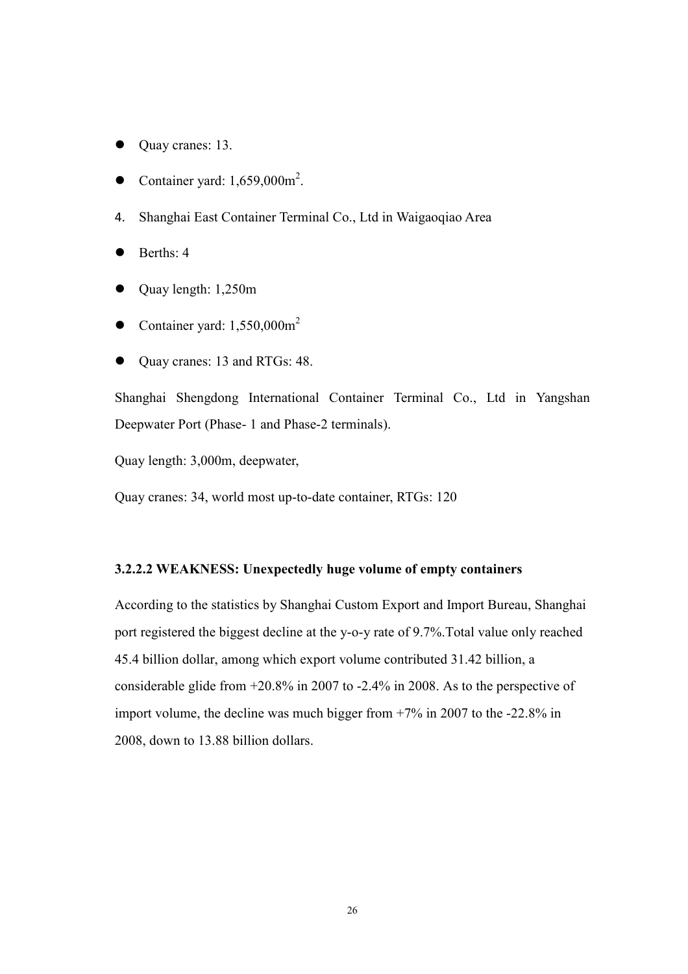- Quay cranes: 13.
- Container yard:  $1,659,000$ m<sup>2</sup>.
- 4. Shanghai East Container Terminal Co., Ltd in Waigaoqiao Area
- Berths: 4
- Quay length: 1,250m
- Container yard:  $1,550,000$ m<sup>2</sup>
- Quay cranes: 13 and RTGs: 48.

Shanghai Shengdong International Container Terminal Co., Ltd in Yangshan Deepwater Port (Phase- 1 and Phase-2 terminals).

Quay length: 3,000m, deepwater,

Quay cranes: 34, world most up-to-date container, RTGs: 120

### 3.2.2.2 WEAK
ESS: Unexpectedly huge volume of empty containers

According to the statistics by Shanghai Custom Export and Import Bureau, Shanghai port registered the biggest decline at the y-o-y rate of 9.7%.Total value only reached 45.4 billion dollar, among which export volume contributed 31.42 billion, a considerable glide from +20.8% in 2007 to -2.4% in 2008. As to the perspective of import volume, the decline was much bigger from +7% in 2007 to the -22.8% in 2008, down to 13.88 billion dollars.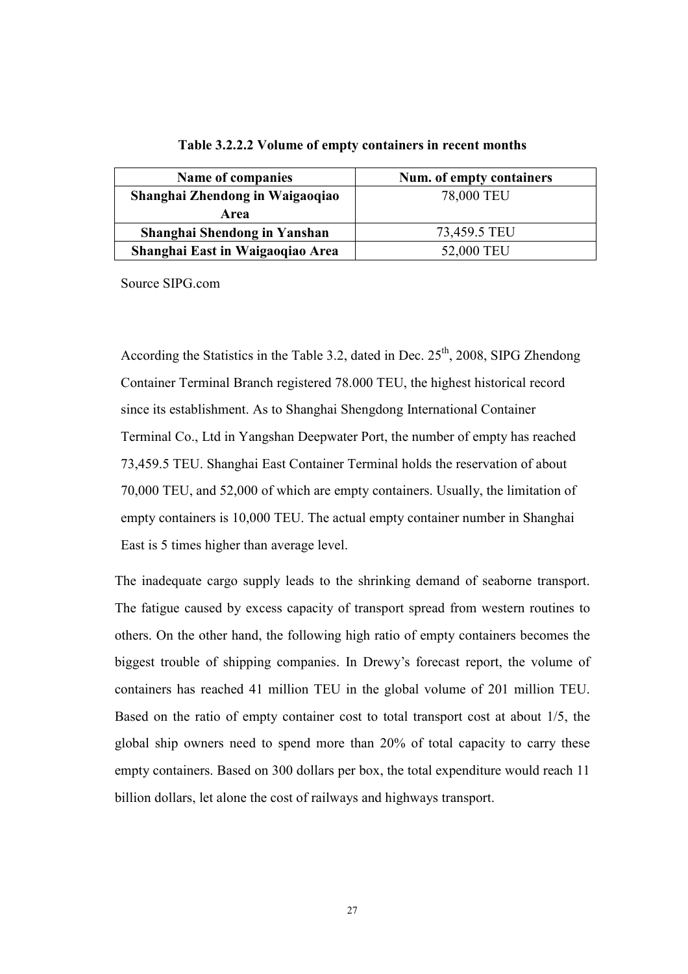| Name of companies                | Num. of empty containers |
|----------------------------------|--------------------------|
| Shanghai Zhendong in Waigaoqiao  | 78,000 TEU               |
| Area                             |                          |
| Shanghai Shendong in Yanshan     | 73,459.5 TEU             |
| Shanghai East in Waigaoqiao Area | 52,000 TEU               |

#### Table 3.2.2.2 Volume of empty containers in recent months

Source SIPG.com

According the Statistics in the Table 3.2, dated in Dec.  $25<sup>th</sup>$ , 2008, SIPG Zhendong Container Terminal Branch registered 78.000 TEU, the highest historical record since its establishment. As to Shanghai Shengdong International Container Terminal Co., Ltd in Yangshan Deepwater Port, the number of empty has reached 73,459.5 TEU. Shanghai East Container Terminal holds the reservation of about 70,000 TEU, and 52,000 of which are empty containers. Usually, the limitation of empty containers is 10,000 TEU. The actual empty container number in Shanghai East is 5 times higher than average level.

The inadequate cargo supply leads to the shrinking demand of seaborne transport. The fatigue caused by excess capacity of transport spread from western routines to others. On the other hand, the following high ratio of empty containers becomes the biggest trouble of shipping companies. In Drewy's forecast report, the volume of containers has reached 41 million TEU in the global volume of 201 million TEU. Based on the ratio of empty container cost to total transport cost at about 1/5, the global ship owners need to spend more than 20% of total capacity to carry these empty containers. Based on 300 dollars per box, the total expenditure would reach 11 billion dollars, let alone the cost of railways and highways transport.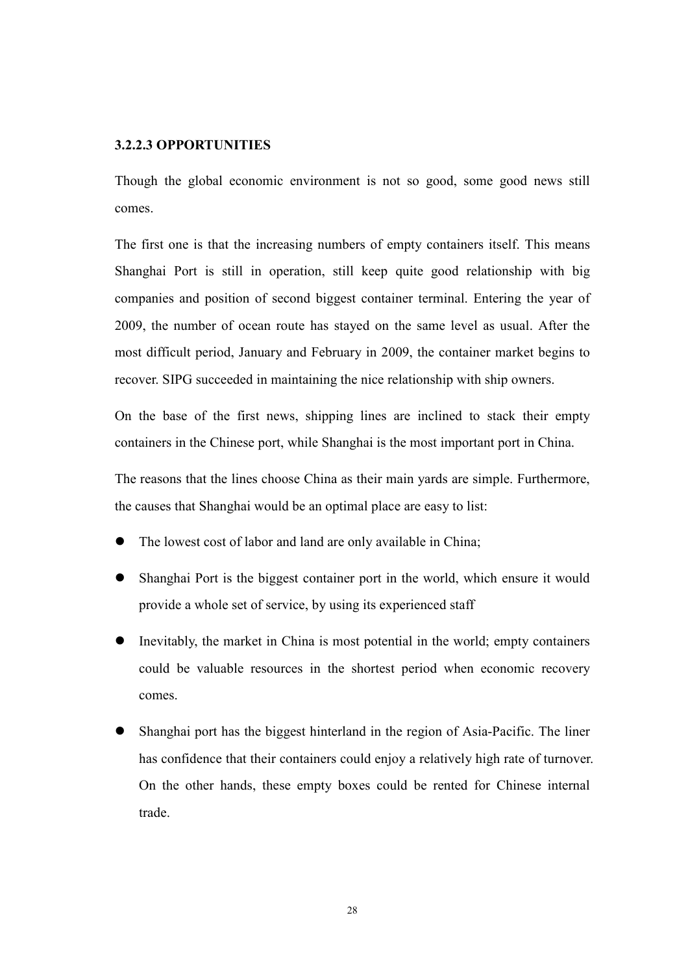### 3.2.2.3 OPPORTU
ITIES

Though the global economic environment is not so good, some good news still comes.

The first one is that the increasing numbers of empty containers itself. This means Shanghai Port is still in operation, still keep quite good relationship with big companies and position of second biggest container terminal. Entering the year of 2009, the number of ocean route has stayed on the same level as usual. After the most difficult period, January and February in 2009, the container market begins to recover. SIPG succeeded in maintaining the nice relationship with ship owners.

On the base of the first news, shipping lines are inclined to stack their empty containers in the Chinese port, while Shanghai is the most important port in China.

The reasons that the lines choose China as their main yards are simple. Furthermore, the causes that Shanghai would be an optimal place are easy to list:

- The lowest cost of labor and land are only available in China;
- Shanghai Port is the biggest container port in the world, which ensure it would provide a whole set of service, by using its experienced staff
- Inevitably, the market in China is most potential in the world; empty containers could be valuable resources in the shortest period when economic recovery comes.
- Shanghai port has the biggest hinterland in the region of Asia-Pacific. The liner has confidence that their containers could enjoy a relatively high rate of turnover. On the other hands, these empty boxes could be rented for Chinese internal trade.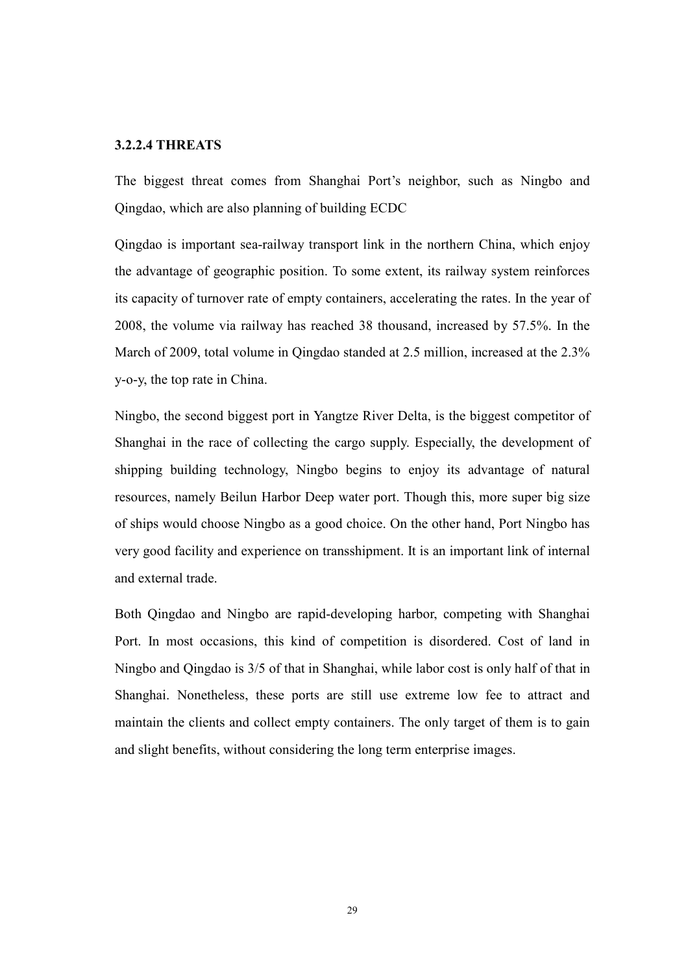### 3.2.2.4 THREATS

The biggest threat comes from Shanghai Port's neighbor, such as Ningbo and Qingdao, which are also planning of building ECDC

Qingdao is important sea-railway transport link in the northern China, which enjoy the advantage of geographic position. To some extent, its railway system reinforces its capacity of turnover rate of empty containers, accelerating the rates. In the year of 2008, the volume via railway has reached 38 thousand, increased by 57.5%. In the March of 2009, total volume in Qingdao standed at 2.5 million, increased at the 2.3% y-o-y, the top rate in China.

Ningbo, the second biggest port in Yangtze River Delta, is the biggest competitor of Shanghai in the race of collecting the cargo supply. Especially, the development of shipping building technology, Ningbo begins to enjoy its advantage of natural resources, namely Beilun Harbor Deep water port. Though this, more super big size of ships would choose Ningbo as a good choice. On the other hand, Port Ningbo has very good facility and experience on transshipment. It is an important link of internal and external trade.

Both Qingdao and Ningbo are rapid-developing harbor, competing with Shanghai Port. In most occasions, this kind of competition is disordered. Cost of land in Ningbo and Qingdao is 3/5 of that in Shanghai, while labor cost is only half of that in Shanghai. Nonetheless, these ports are still use extreme low fee to attract and maintain the clients and collect empty containers. The only target of them is to gain and slight benefits, without considering the long term enterprise images.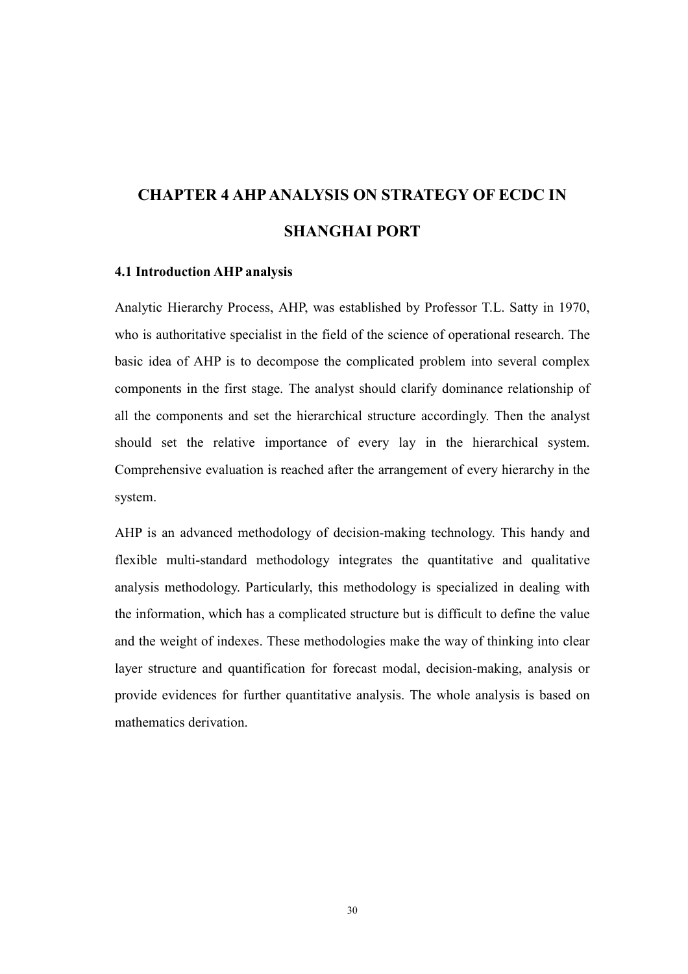# CHAPTER 4 AHP ANALYSIS ON STRATEGY OF ECDC IN SHA
GHAI PORT

### 4.1 Introduction AHP analysis

Analytic Hierarchy Process, AHP, was established by Professor T.L. Satty in 1970, who is authoritative specialist in the field of the science of operational research. The basic idea of AHP is to decompose the complicated problem into several complex components in the first stage. The analyst should clarify dominance relationship of all the components and set the hierarchical structure accordingly. Then the analyst should set the relative importance of every lay in the hierarchical system. Comprehensive evaluation is reached after the arrangement of every hierarchy in the system.

AHP is an advanced methodology of decision-making technology. This handy and flexible multi-standard methodology integrates the quantitative and qualitative analysis methodology. Particularly, this methodology is specialized in dealing with the information, which has a complicated structure but is difficult to define the value and the weight of indexes. These methodologies make the way of thinking into clear layer structure and quantification for forecast modal, decision-making, analysis or provide evidences for further quantitative analysis. The whole analysis is based on mathematics derivation.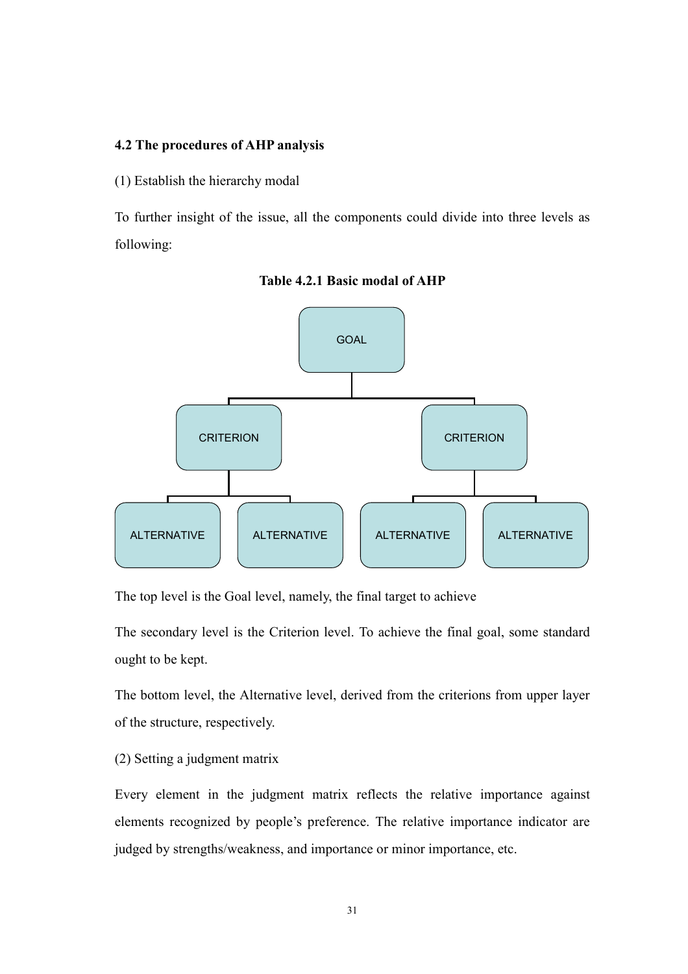### 4.2 The procedures of AHP analysis

(1) Establish the hierarchy modal

To further insight of the issue, all the components could divide into three levels as following:



Table 4.2.1 Basic modal of AHP

The top level is the Goal level, namely, the final target to achieve

The secondary level is the Criterion level. To achieve the final goal, some standard ought to be kept.

The bottom level, the Alternative level, derived from the criterions from upper layer of the structure, respectively.

(2) Setting a judgment matrix

Every element in the judgment matrix reflects the relative importance against elements recognized by people's preference. The relative importance indicator are judged by strengths/weakness, and importance or minor importance, etc.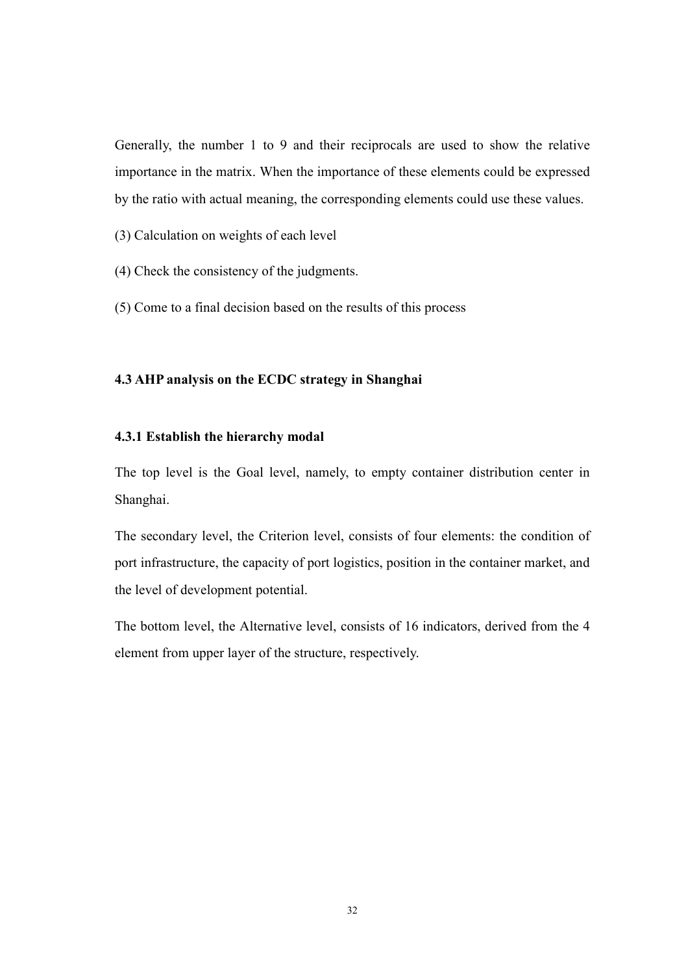Generally, the number 1 to 9 and their reciprocals are used to show the relative importance in the matrix. When the importance of these elements could be expressed by the ratio with actual meaning, the corresponding elements could use these values.

- (3) Calculation on weights of each level
- (4) Check the consistency of the judgments.
- (5) Come to a final decision based on the results of this process

### 4.3 AHP analysis on the ECDC strategy in Shanghai

### 4.3.1 Establish the hierarchy modal

The top level is the Goal level, namely, to empty container distribution center in Shanghai.

The secondary level, the Criterion level, consists of four elements: the condition of port infrastructure, the capacity of port logistics, position in the container market, and the level of development potential.

The bottom level, the Alternative level, consists of 16 indicators, derived from the 4 element from upper layer of the structure, respectively.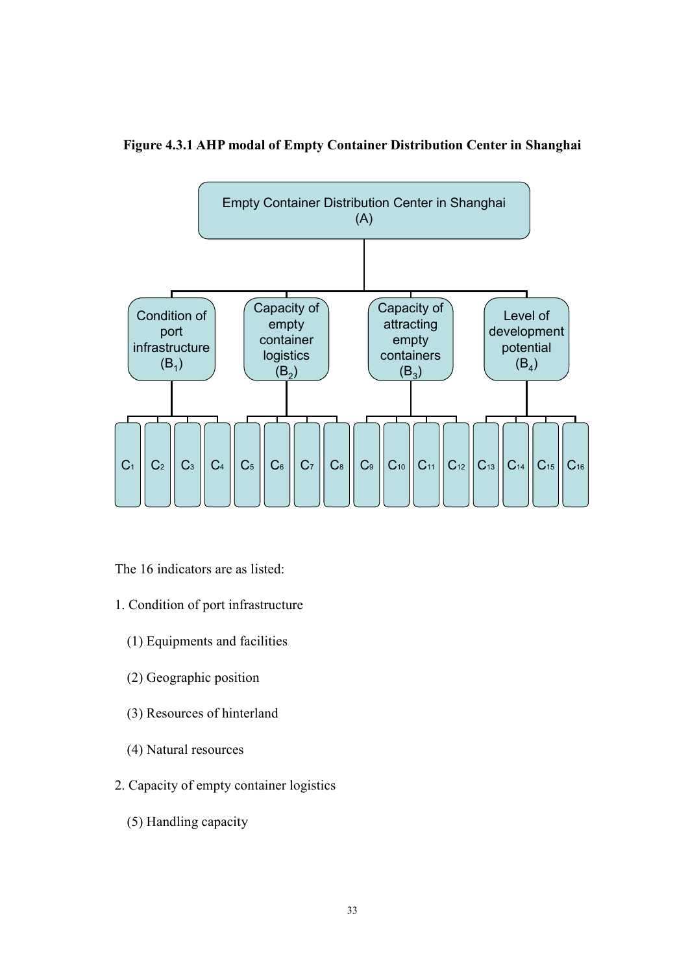Figure 4.3.1 AHP modal of Empty Container Distribution Center in Shanghai



The 16 indicators are as listed:

- 1. Condition of port infrastructure
	- (1) Equipments and facilities
	- (2) Geographic position
	- (3) Resources of hinterland
	- (4) Natural resources
- 2. Capacity of empty container logistics
	- (5) Handling capacity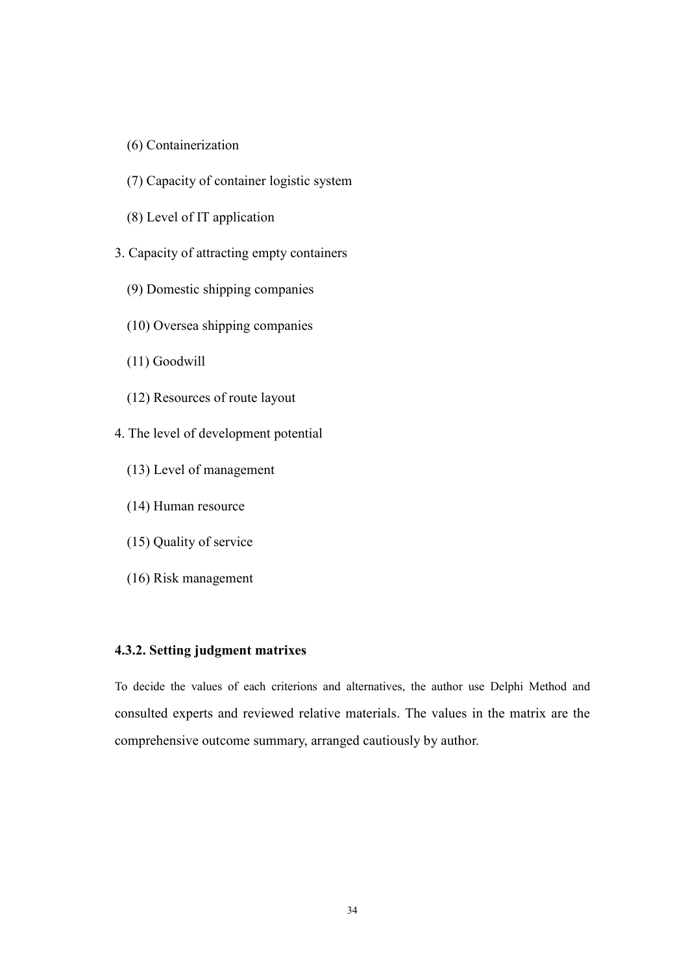- (6) Containerization
- (7) Capacity of container logistic system
- (8) Level of IT application
- 3. Capacity of attracting empty containers
	- (9) Domestic shipping companies
	- (10) Oversea shipping companies
	- (11) Goodwill
	- (12) Resources of route layout
- 4. The level of development potential
	- (13) Level of management
	- (14) Human resource
	- (15) Quality of service
	- (16) Risk management

### 4.3.2. Setting judgment matrixes

To decide the values of each criterions and alternatives, the author use Delphi Method and consulted experts and reviewed relative materials. The values in the matrix are the comprehensive outcome summary, arranged cautiously by author.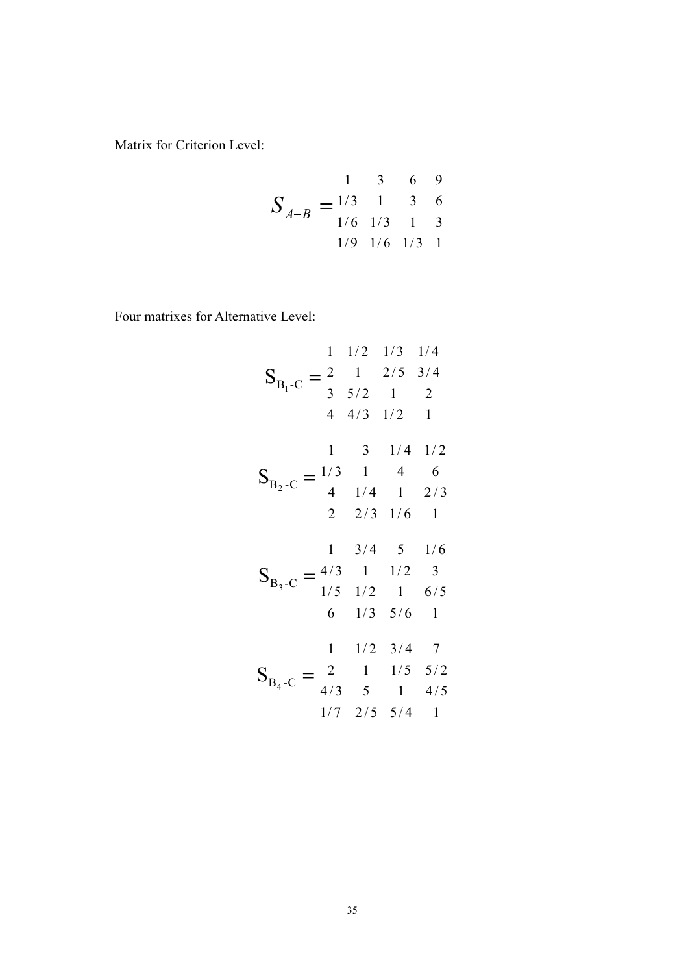Matrix for Criterion Level:

$$
S_{A-B} = \begin{array}{cccccc} & 1 & 3 & 6 & 9 \\ 1/3 & 1 & 3 & 6 \\ & 1/6 & 1/3 & 1 & 3 \\ & & 1/9 & 1/6 & 1/3 & 1 \end{array}
$$

Four matrixes for Alternative Level:

$$
S_{B_1-C} = \begin{array}{ccccccccc}\n & 1 & 1/2 & 1/3 & 1/4 \\
 & 1/2 & 1/3 & 1/4 & 1/4 & 1/4 & 1/2 & 1\n\end{array}
$$
\n
$$
S_{B_2-C} = \begin{array}{ccccccccc}\n & 1 & 3 & 1/4 & 1/2 & 1 \\
 & 1 & 3 & 1/4 & 1/2 & 1 \\
 & 1 & 4 & 6 & 1/4 & 1 & 2/3 & 1/6 & 1\n\end{array}
$$
\n
$$
S_{B_3-C} = \begin{array}{ccccccccc}\n & 1 & 3/4 & 5 & 1/6 & 1 \\
 & 1/5 & 1/2 & 1 & 6/5 & 1 \\
 & 1/5 & 1/2 & 1 & 6/5 & 1 \\
 & 1/3 & 5/6 & 1 & 1/5 & 5/2 & 1\n\end{array}
$$
\n
$$
S_{B_4-C} = \begin{array}{ccccccccc}\n & 1 & 1/2 & 3/4 & 7 & 1 \\
 & 1/7 & 2/5 & 5/4 & 1 & 4/5 & 1/7 & 2/5 & 5/4 & 1\n\end{array}
$$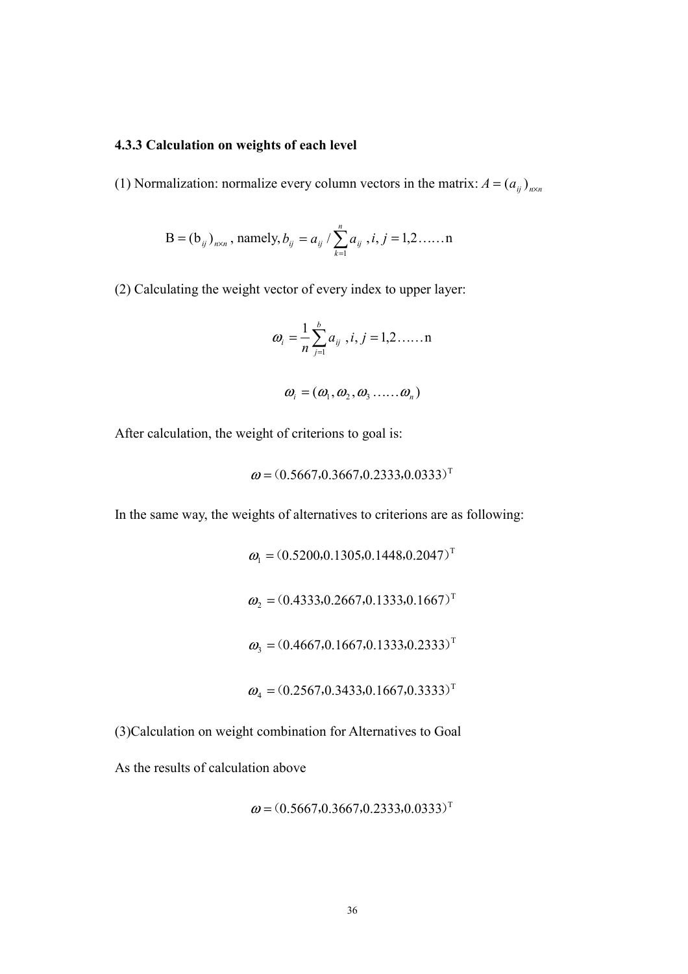### 4.3.3 Calculation on weights of each level

(1) Normalization: normalize every column vectors in the matrix:  $A = (a_{ij})_{n \times n}$ 

B = 
$$
(b_{ij})_{n \times n}
$$
, namely,  $b_{ij} = a_{ij} / \sum_{k=1}^{n} a_{ij}$ ,  $i, j = 1, 2, ....$ 

(2) Calculating the weight vector of every index to upper layer:

$$
\omega_i = \frac{1}{n} \sum_{j=1}^{b} a_{ij} , i, j = 1, 2, \dots, n
$$

$$
\boldsymbol{\omega}_i = (\boldsymbol{\omega}_1, \boldsymbol{\omega}_2, \boldsymbol{\omega}_3, \dots, \boldsymbol{\omega}_n)
$$

After calculation, the weight of criterions to goal is:

$$
\boldsymbol{\omega} = (0.5667, 0.3667, 0.2333, 0.0333)^{\mathrm{T}}
$$

In the same way, the weights of alternatives to criterions are as following:

$$
\omega_1 = (0.5200, 0.1305, 0.1448, 0.2047)^T
$$
  
\n
$$
\omega_2 = (0.4333, 0.2667, 0.1333, 0.1667)^T
$$
  
\n
$$
\omega_3 = (0.4667, 0.1667, 0.1333, 0.2333)^T
$$
  
\n
$$
\omega_4 = (0.2567, 0.3433, 0.1667, 0.3333)^T
$$

(3)Calculation on weight combination for Alternatives to Goal

As the results of calculation above

$$
\boldsymbol{\omega} = (0.5667, 0.3667, 0.2333, 0.0333)^{\mathrm{T}}
$$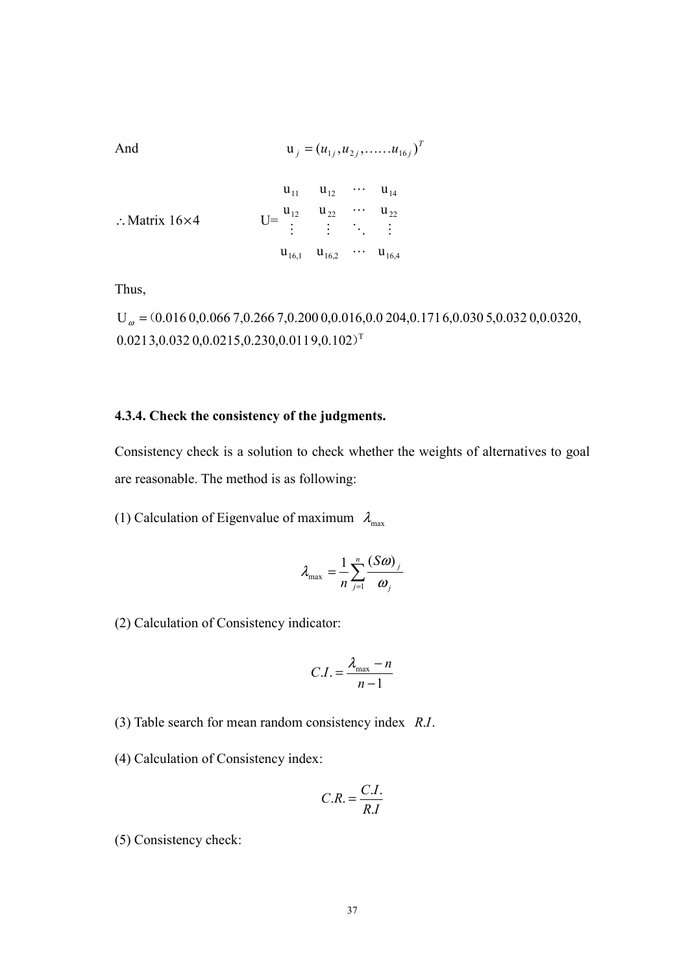And 
$$
u_j = (u_{1j}, u_{2j}, \dots, u_{16j})^T
$$

∴Matrix  $16\times4$  $u_{16,1}$   $u_{16,2}$   $\cdots$   $u_{16,4}$  $u_{12}$   $u_{22}$   $\cdots$   $u_{22}$  $u_{11}$   $u_{12}$   $\cdots$   $u_{14}$  $\mathbb{R}^m \times \mathbb{R}^m \times \mathbb{R}^m$  $\ldots$ 

Thus,

 $0.0213, 0.0320, 0.0215, 0.230, 0.0119, 0.102$ <sup>T</sup>  $U_{\omega} = (0.016\,0, 0.066\,7, 0.266\,7, 0.200\,0, 0.016, 0.0204, 0.171\,6, 0.030\,5, 0.032\,0, 0.0320,$ 

### 4.3.4. Check the consistency of the judgments.

Consistency check is a solution to check whether the weights of alternatives to goal are reasonable. The method is as following:

(1) Calculation of Eigenvalue of maximum  $\lambda_{\text{max}}$ 

$$
\lambda_{\max} = \frac{1}{n} \sum_{j=1}^{n} \frac{(S\omega)_j}{\omega_j}
$$

(2) Calculation of Consistency indicator:

$$
C.I. = \frac{\lambda_{\max} - n}{n - 1}
$$

- (3) Table search for mean random consistency index  $R.I$ .
- (4) Calculation of Consistency index:

$$
C.R. = \frac{C.I.}{R.I}
$$

(5) Consistency check: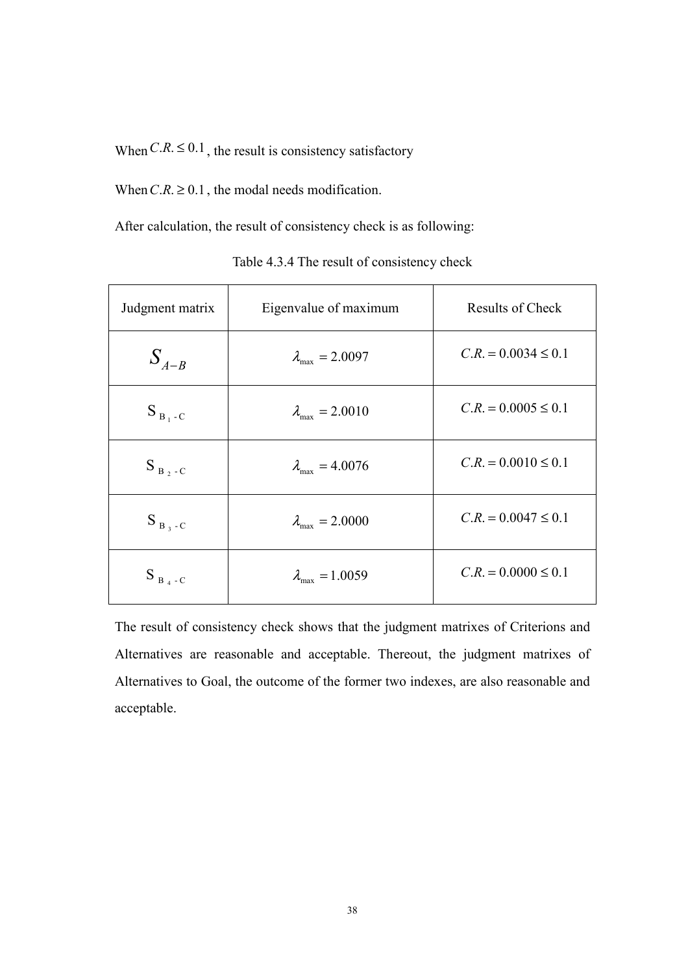When  $C.R. \leq 0.1$ , the result is consistency satisfactory

When  $C.R. \ge 0.1$ , the modal needs modification.

After calculation, the result of consistency check is as following:

| Judgment matrix | Eigenvalue of maximum           | Results of Check        |  |
|-----------------|---------------------------------|-------------------------|--|
| $S_{A-B}$       | $\lambda_{\rm max} = 2.0097$    | $C.R. = 0.0034 \le 0.1$ |  |
| $S_{B_1-C}$     | $\lambda_{\rm max} = 2.0010$    | $C.R. = 0.0005 \le 0.1$ |  |
| $S_{B_2-C}$     | $\lambda_{\text{max}} = 4.0076$ | $C.R. = 0.0010 \le 0.1$ |  |
| $S_{B_3-C}$     | $\lambda_{\text{max}} = 2.0000$ | $C.R. = 0.0047 \le 0.1$ |  |
| $S_{B_4-C}$     | $\lambda_{\text{max}} = 1.0059$ | $C.R. = 0.0000 \le 0.1$ |  |

Table 4.3.4 The result of consistency check

The result of consistency check shows that the judgment matrixes of Criterions and Alternatives are reasonable and acceptable. Thereout, the judgment matrixes of Alternatives to Goal, the outcome of the former two indexes, are also reasonable and acceptable.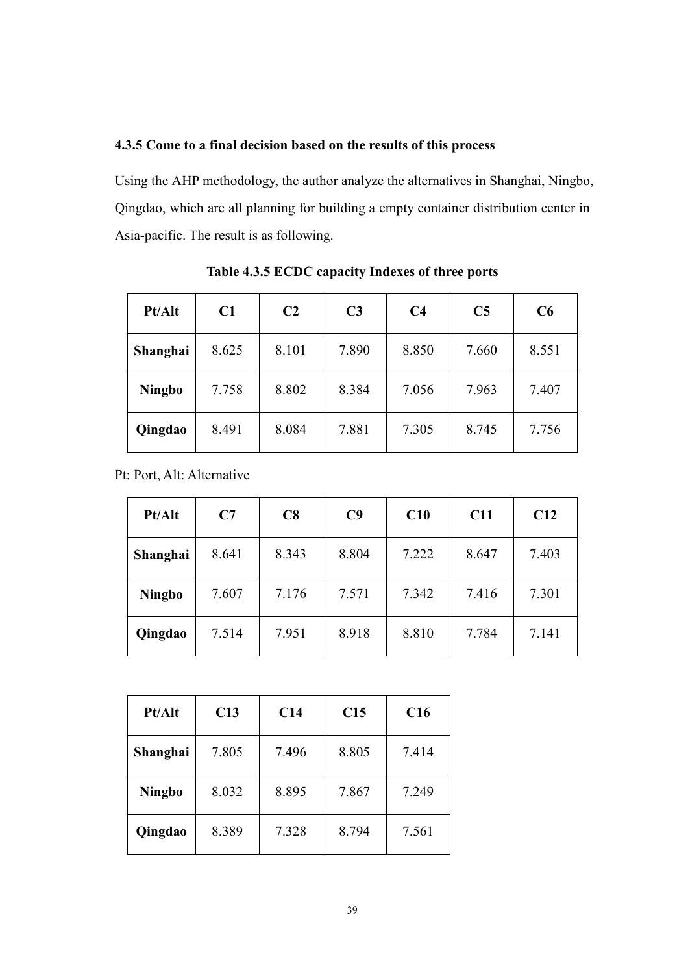### 4.3.5 Come to a final decision based on the results of this process

Using the AHP methodology, the author analyze the alternatives in Shanghai, Ningbo, Qingdao, which are all planning for building a empty container distribution center in Asia-pacific. The result is as following.

| Pt/Alt        | C1    | C <sub>2</sub> | C <sub>3</sub> | C <sub>4</sub> | C <sub>5</sub> | C6    |
|---------------|-------|----------------|----------------|----------------|----------------|-------|
| Shanghai      | 8.625 | 8.101          | 7.890          | 8.850          | 7.660          | 8.551 |
| <b>Ningbo</b> | 7.758 | 8.802          | 8.384          | 7.056          | 7.963          | 7.407 |
| Qingdao       | 8.491 | 8.084          | 7.881          | 7.305          | 8.745          | 7.756 |

Table 4.3.5 ECDC capacity Indexes of three ports

Pt: Port, Alt: Alternative

| Pt/Alt        | C7    | C8    | C9    | C10   | C11   | C12   |
|---------------|-------|-------|-------|-------|-------|-------|
| Shanghai      | 8.641 | 8.343 | 8.804 | 7.222 | 8.647 | 7.403 |
| <b>Ningbo</b> | 7.607 | 7.176 | 7.571 | 7.342 | 7.416 | 7.301 |
| Qingdao       | 7.514 | 7.951 | 8.918 | 8.810 | 7.784 | 7.141 |

| <b>Pt/Alt</b> | C13   | C14   | C15   | C16   |
|---------------|-------|-------|-------|-------|
| Shanghai      | 7.805 | 7.496 | 8.805 | 7.414 |
| <b>Ningbo</b> | 8.032 | 8.895 | 7.867 | 7.249 |
| Qingdao       | 8.389 | 7.328 | 8.794 | 7.561 |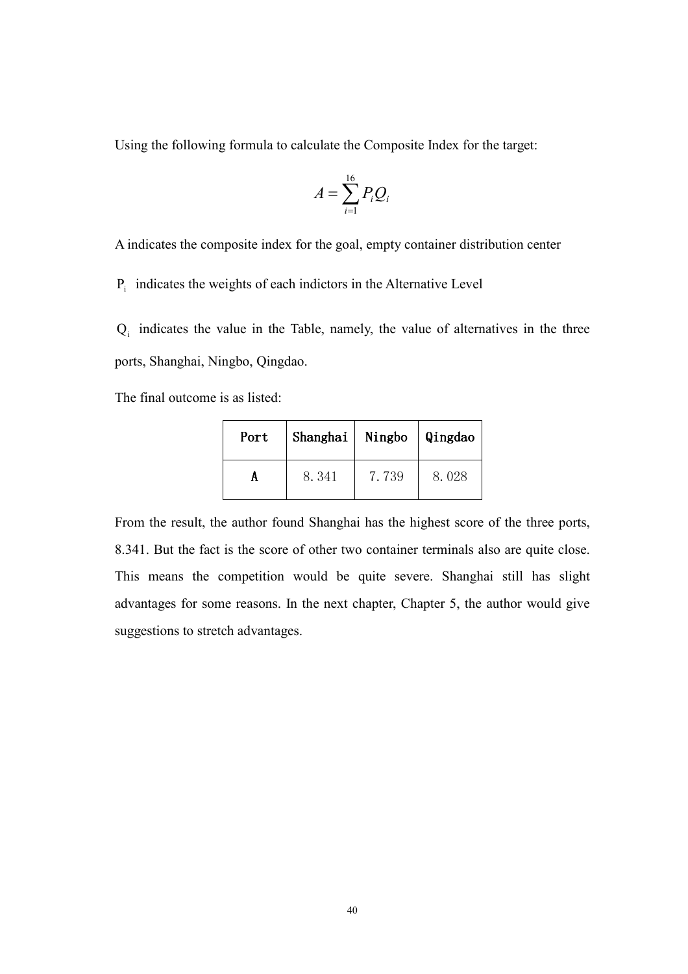Using the following formula to calculate the Composite Index for the target:

$$
A = \sum_{i=1}^{16} P_i Q_i
$$

A indicates the composite index for the goal, empty container distribution center

 $P_i$  indicates the weights of each indictors in the Alternative Level

 $Q_i$  indicates the value in the Table, namely, the value of alternatives in the three ports, Shanghai, Ningbo, Qingdao.

The final outcome is as listed:

| Port | Shanghai   Ningbo |       | Qingdao |
|------|-------------------|-------|---------|
|      | 8.341             | 7.739 | 8.028   |

From the result, the author found Shanghai has the highest score of the three ports, 8.341. But the fact is the score of other two container terminals also are quite close. This means the competition would be quite severe. Shanghai still has slight advantages for some reasons. In the next chapter, Chapter 5, the author would give suggestions to stretch advantages.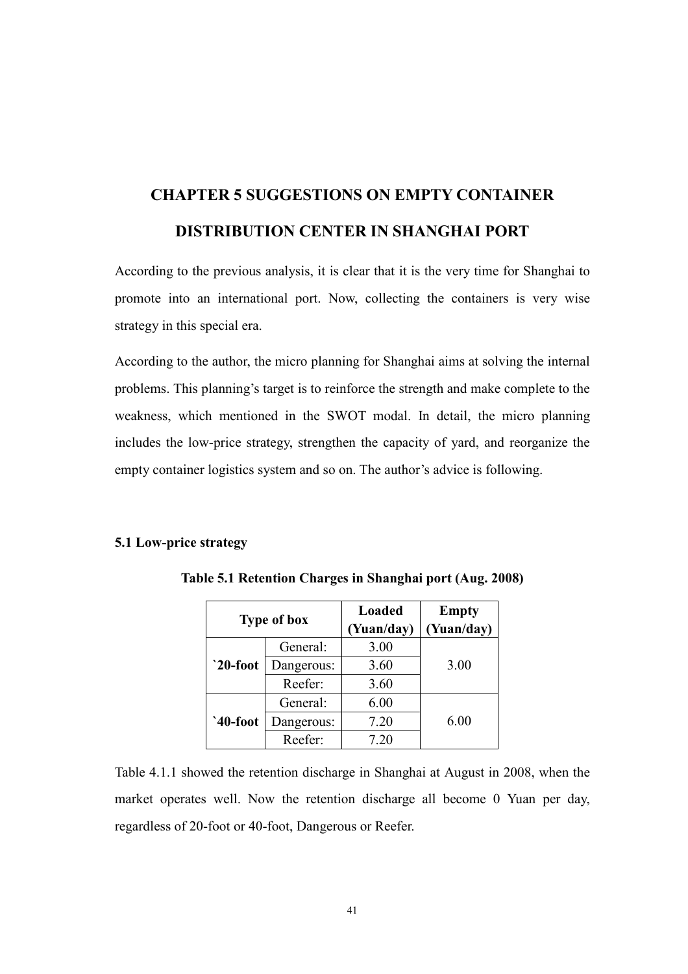# CHAPTER 5 SUGGESTIO
S O
 EMPTY CO
TAI
ER DISTRIBUTION CENTER IN SHANGHAI PORT

According to the previous analysis, it is clear that it is the very time for Shanghai to promote into an international port. Now, collecting the containers is very wise strategy in this special era.

According to the author, the micro planning for Shanghai aims at solving the internal problems. This planning's target is to reinforce the strength and make complete to the weakness, which mentioned in the SWOT modal. In detail, the micro planning includes the low-price strategy, strengthen the capacity of yard, and reorganize the empty container logistics system and so on. The author's advice is following.

### 5.1 Low-price strategy

| <b>Type of box</b> |            | <b>Loaded</b><br>(Yuan/day) | <b>Empty</b><br>(Yuan/day) |
|--------------------|------------|-----------------------------|----------------------------|
| $`20$ -foot        | General:   | 3.00                        |                            |
|                    | Dangerous: | 3.60                        | 3.00                       |
|                    | Reefer:    | 3.60                        |                            |
| $`40$ -foot        | General:   | 6.00                        |                            |
|                    | Dangerous: | 7.20                        | 6.00                       |
|                    | Reefer:    | 7.20                        |                            |

Table 5.1 Retention Charges in Shanghai port (Aug. 2008)

Table 4.1.1 showed the retention discharge in Shanghai at August in 2008, when the market operates well. Now the retention discharge all become 0 Yuan per day, regardless of 20-foot or 40-foot, Dangerous or Reefer.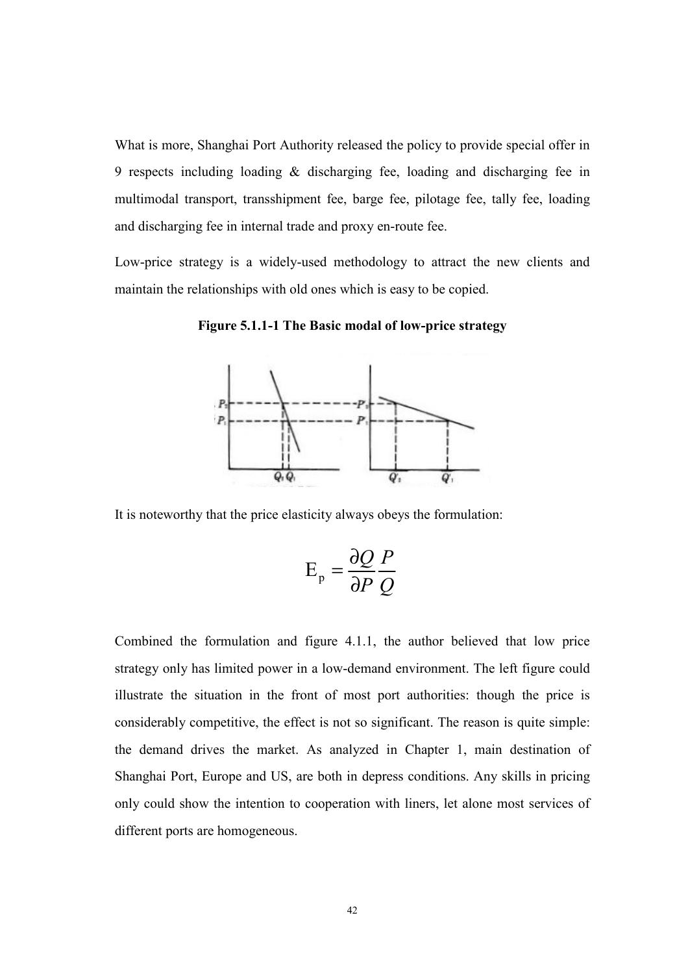What is more, Shanghai Port Authority released the policy to provide special offer in 9 respects including loading & discharging fee, loading and discharging fee in multimodal transport, transshipment fee, barge fee, pilotage fee, tally fee, loading and discharging fee in internal trade and proxy en-route fee.

Low-price strategy is a widely-used methodology to attract the new clients and maintain the relationships with old ones which is easy to be copied.

Figure 5.1.1-1 The Basic modal of low-price strategy



It is noteworthy that the price elasticity always obeys the formulation:

$$
E_p = \frac{\partial Q}{\partial P} \frac{P}{Q}
$$

Combined the formulation and figure 4.1.1, the author believed that low price strategy only has limited power in a low-demand environment. The left figure could illustrate the situation in the front of most port authorities: though the price is considerably competitive, the effect is not so significant. The reason is quite simple: the demand drives the market. As analyzed in Chapter 1, main destination of Shanghai Port, Europe and US, are both in depress conditions. Any skills in pricing only could show the intention to cooperation with liners, let alone most services of different ports are homogeneous.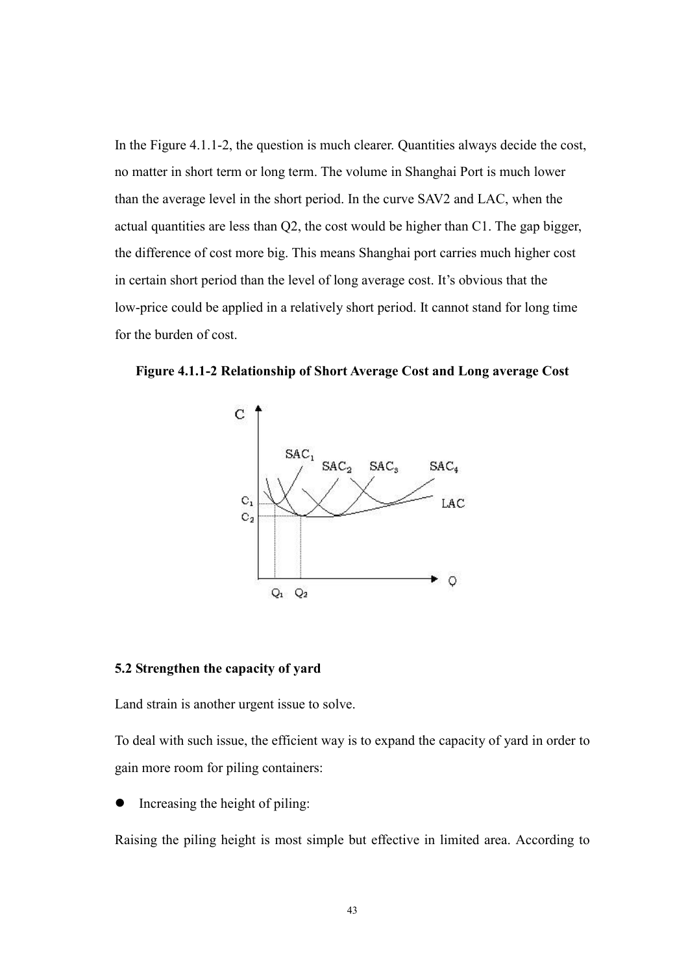In the Figure 4.1.1-2, the question is much clearer. Quantities always decide the cost, no matter in short term or long term. The volume in Shanghai Port is much lower than the average level in the short period. In the curve SAV2 and LAC, when the actual quantities are less than Q2, the cost would be higher than C1. The gap bigger, the difference of cost more big. This means Shanghai port carries much higher cost in certain short period than the level of long average cost. It's obvious that the low-price could be applied in a relatively short period. It cannot stand for long time for the burden of cost.





### 5.2 Strengthen the capacity of yard

Land strain is another urgent issue to solve.

To deal with such issue, the efficient way is to expand the capacity of yard in order to gain more room for piling containers:

Increasing the height of piling:

Raising the piling height is most simple but effective in limited area. According to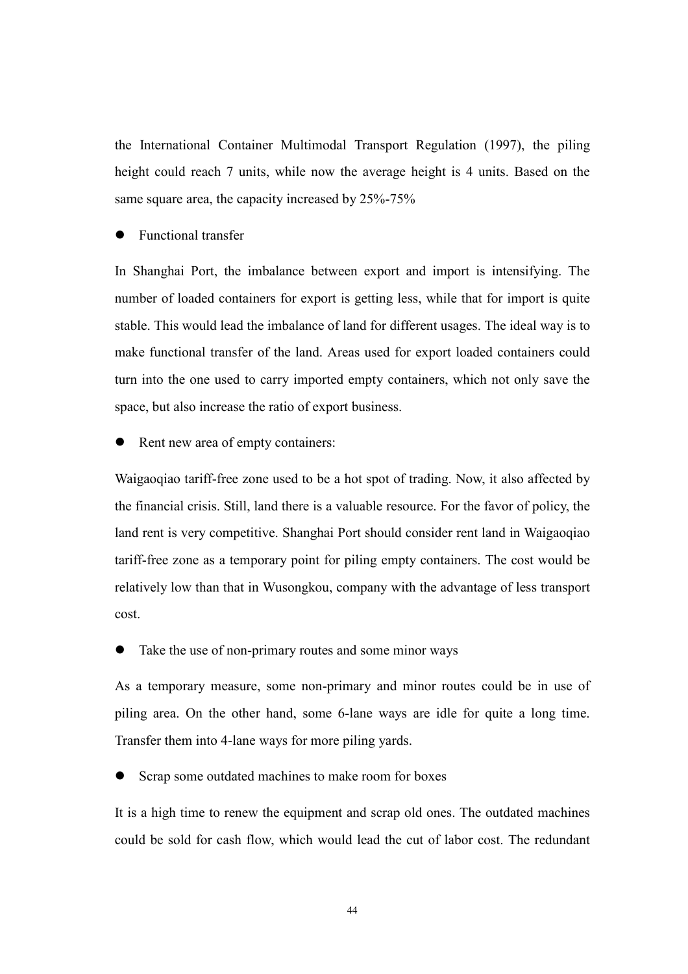the International Container Multimodal Transport Regulation (1997), the piling height could reach 7 units, while now the average height is 4 units. Based on the same square area, the capacity increased by 25%-75%

● Functional transfer

In Shanghai Port, the imbalance between export and import is intensifying. The number of loaded containers for export is getting less, while that for import is quite stable. This would lead the imbalance of land for different usages. The ideal way is to make functional transfer of the land. Areas used for export loaded containers could turn into the one used to carry imported empty containers, which not only save the space, but also increase the ratio of export business.

Rent new area of empty containers:

Waigaoqiao tariff-free zone used to be a hot spot of trading. Now, it also affected by the financial crisis. Still, land there is a valuable resource. For the favor of policy, the land rent is very competitive. Shanghai Port should consider rent land in Waigaoqiao tariff-free zone as a temporary point for piling empty containers. The cost would be relatively low than that in Wusongkou, company with the advantage of less transport cost.

Take the use of non-primary routes and some minor ways

As a temporary measure, some non-primary and minor routes could be in use of piling area. On the other hand, some 6-lane ways are idle for quite a long time. Transfer them into 4-lane ways for more piling yards.

Scrap some outdated machines to make room for boxes

It is a high time to renew the equipment and scrap old ones. The outdated machines could be sold for cash flow, which would lead the cut of labor cost. The redundant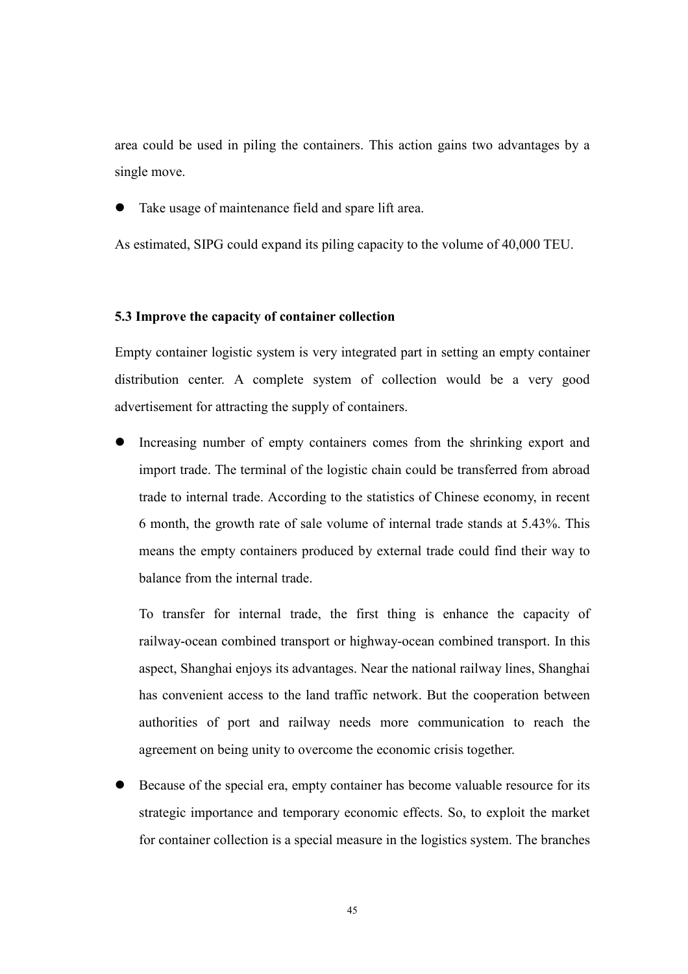area could be used in piling the containers. This action gains two advantages by a single move.

Take usage of maintenance field and spare lift area.

As estimated, SIPG could expand its piling capacity to the volume of 40,000 TEU.

### 5.3 Improve the capacity of container collection

Empty container logistic system is very integrated part in setting an empty container distribution center. A complete system of collection would be a very good advertisement for attracting the supply of containers.

 Increasing number of empty containers comes from the shrinking export and import trade. The terminal of the logistic chain could be transferred from abroad trade to internal trade. According to the statistics of Chinese economy, in recent 6 month, the growth rate of sale volume of internal trade stands at 5.43%. This means the empty containers produced by external trade could find their way to balance from the internal trade.

To transfer for internal trade, the first thing is enhance the capacity of railway-ocean combined transport or highway-ocean combined transport. In this aspect, Shanghai enjoys its advantages. Near the national railway lines, Shanghai has convenient access to the land traffic network. But the cooperation between authorities of port and railway needs more communication to reach the agreement on being unity to overcome the economic crisis together.

 Because of the special era, empty container has become valuable resource for its strategic importance and temporary economic effects. So, to exploit the market for container collection is a special measure in the logistics system. The branches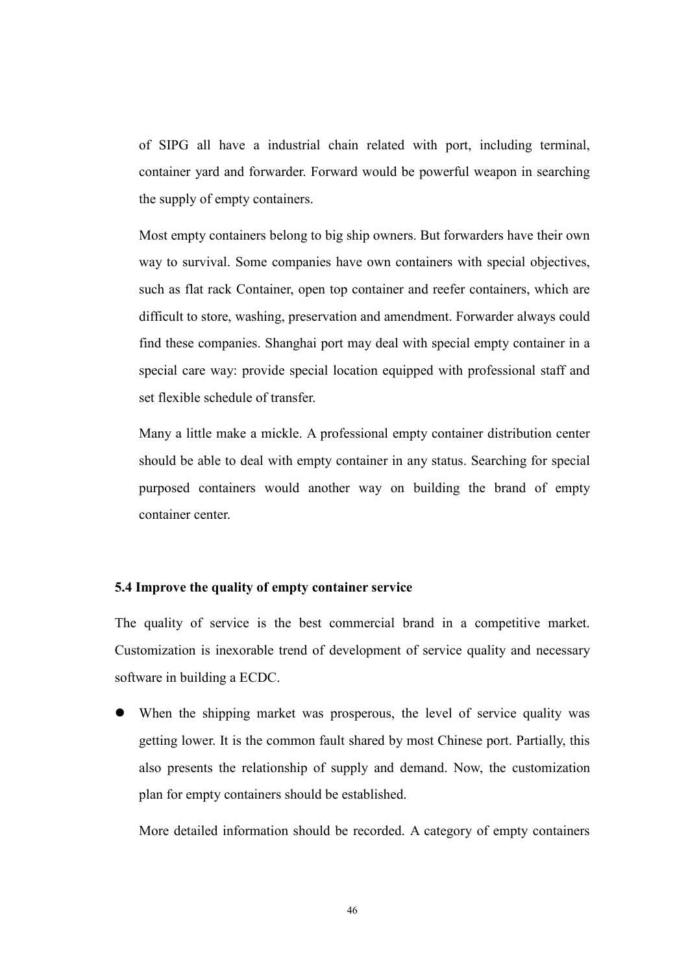of SIPG all have a industrial chain related with port, including terminal, container yard and forwarder. Forward would be powerful weapon in searching the supply of empty containers.

Most empty containers belong to big ship owners. But forwarders have their own way to survival. Some companies have own containers with special objectives, such as flat rack Container, open top container and reefer containers, which are difficult to store, washing, preservation and amendment. Forwarder always could find these companies. Shanghai port may deal with special empty container in a special care way: provide special location equipped with professional staff and set flexible schedule of transfer.

Many a little make a mickle. A professional empty container distribution center should be able to deal with empty container in any status. Searching for special purposed containers would another way on building the brand of empty container center.

### 5.4 Improve the quality of empty container service

The quality of service is the best commercial brand in a competitive market. Customization is inexorable trend of development of service quality and necessary software in building a ECDC.

 When the shipping market was prosperous, the level of service quality was getting lower. It is the common fault shared by most Chinese port. Partially, this also presents the relationship of supply and demand. Now, the customization plan for empty containers should be established.

More detailed information should be recorded. A category of empty containers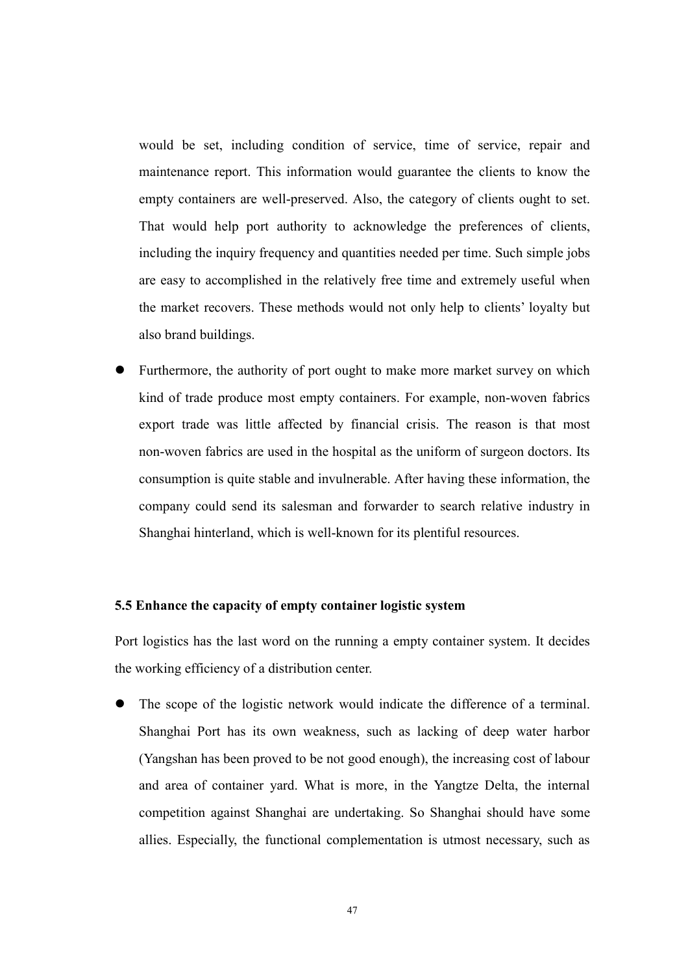would be set, including condition of service, time of service, repair and maintenance report. This information would guarantee the clients to know the empty containers are well-preserved. Also, the category of clients ought to set. That would help port authority to acknowledge the preferences of clients, including the inquiry frequency and quantities needed per time. Such simple jobs are easy to accomplished in the relatively free time and extremely useful when the market recovers. These methods would not only help to clients' loyalty but also brand buildings.

 Furthermore, the authority of port ought to make more market survey on which kind of trade produce most empty containers. For example, non-woven fabrics export trade was little affected by financial crisis. The reason is that most non-woven fabrics are used in the hospital as the uniform of surgeon doctors. Its consumption is quite stable and invulnerable. After having these information, the company could send its salesman and forwarder to search relative industry in Shanghai hinterland, which is well-known for its plentiful resources.

### 5.5 Enhance the capacity of empty container logistic system

Port logistics has the last word on the running a empty container system. It decides the working efficiency of a distribution center.

 The scope of the logistic network would indicate the difference of a terminal. Shanghai Port has its own weakness, such as lacking of deep water harbor (Yangshan has been proved to be not good enough), the increasing cost of labour and area of container yard. What is more, in the Yangtze Delta, the internal competition against Shanghai are undertaking. So Shanghai should have some allies. Especially, the functional complementation is utmost necessary, such as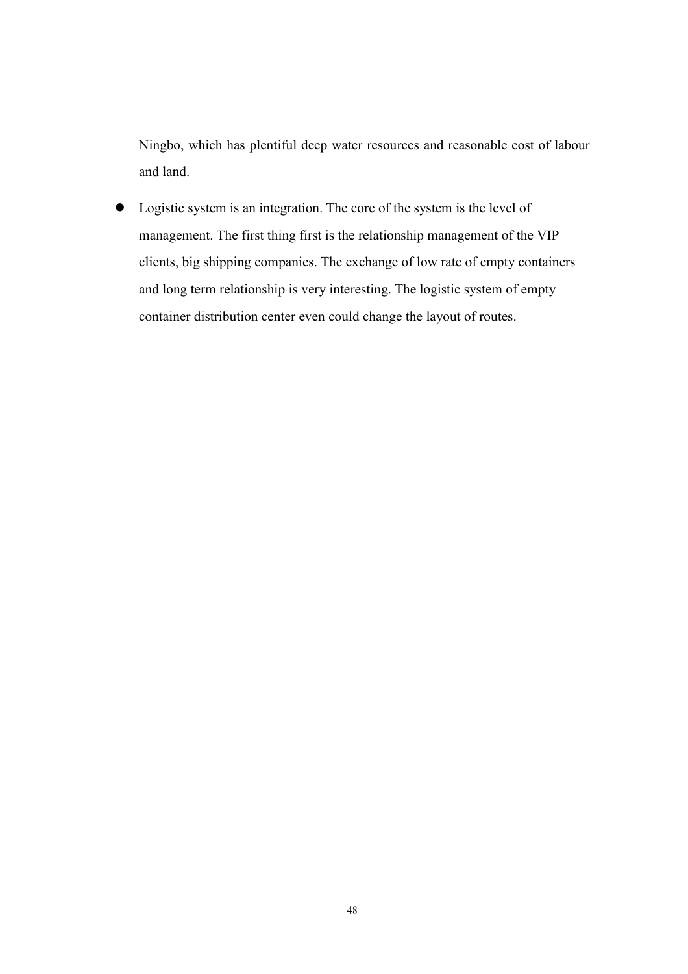Ningbo, which has plentiful deep water resources and reasonable cost of labour and land.

 Logistic system is an integration. The core of the system is the level of management. The first thing first is the relationship management of the VIP clients, big shipping companies. The exchange of low rate of empty containers and long term relationship is very interesting. The logistic system of empty container distribution center even could change the layout of routes.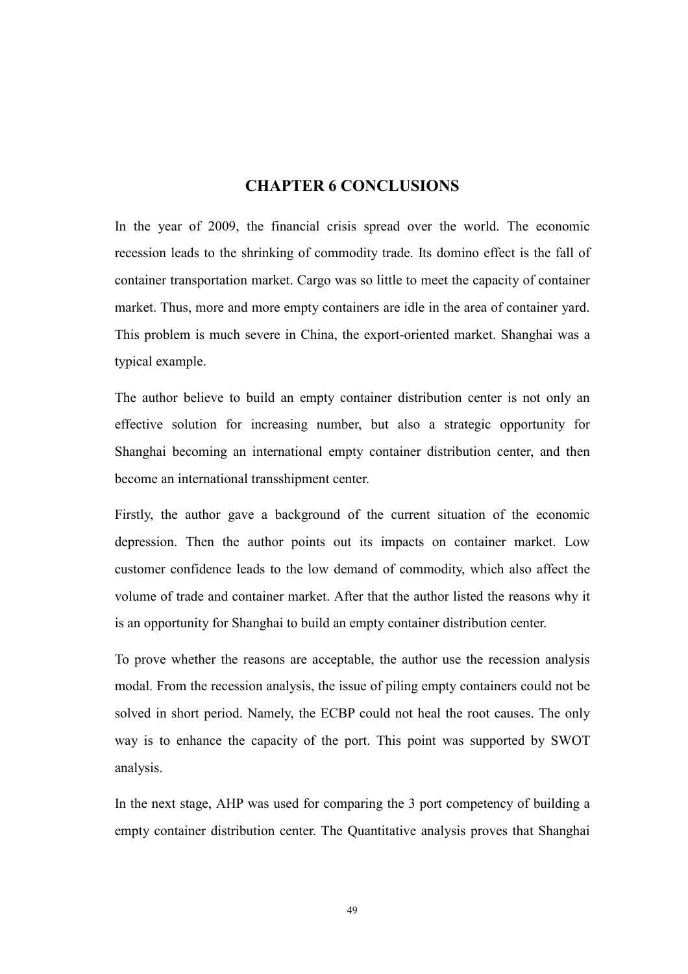## CHAPTER 6 CO
CLUSIO
S

In the year of 2009, the financial crisis spread over the world. The economic recession leads to the shrinking of commodity trade. Its domino effect is the fall of container transportation market. Cargo was so little to meet the capacity of container market. Thus, more and more empty containers are idle in the area of container yard. This problem is much severe in China, the export-oriented market. Shanghai was a typical example.

The author believe to build an empty container distribution center is not only an effective solution for increasing number, but also a strategic opportunity for Shanghai becoming an international empty container distribution center, and then become an international transshipment center.

Firstly, the author gave a background of the current situation of the economic depression. Then the author points out its impacts on container market. Low customer confidence leads to the low demand of commodity, which also affect the volume of trade and container market. After that the author listed the reasons why it is an opportunity for Shanghai to build an empty container distribution center.

To prove whether the reasons are acceptable, the author use the recession analysis modal. From the recession analysis, the issue of piling empty containers could not be solved in short period. Namely, the ECBP could not heal the root causes. The only way is to enhance the capacity of the port. This point was supported by SWOT analysis.

In the next stage, AHP was used for comparing the 3 port competency of building a empty container distribution center. The Quantitative analysis proves that Shanghai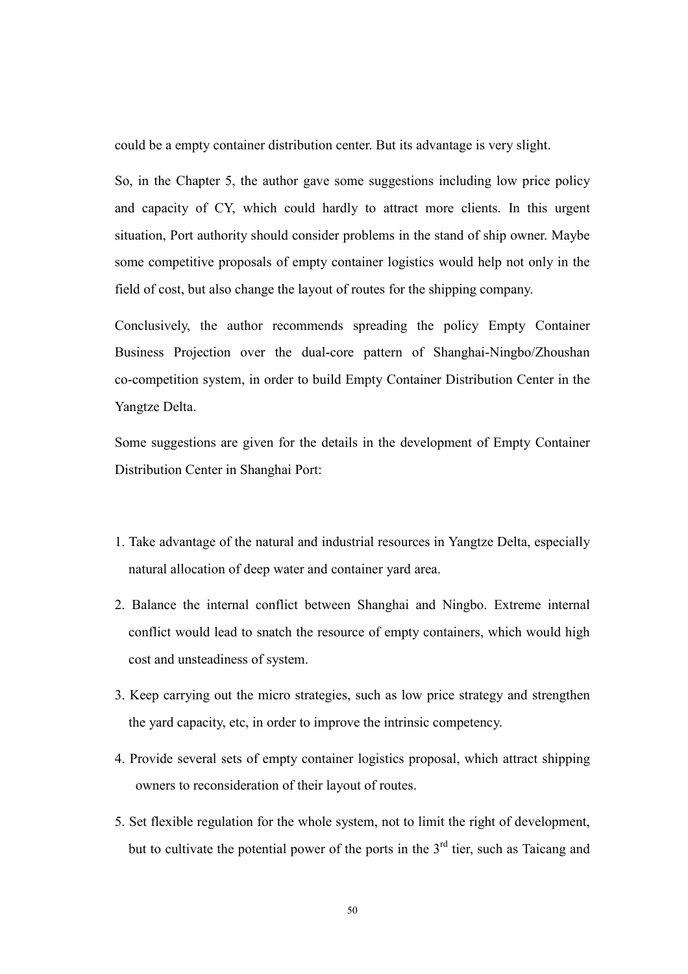could be a empty container distribution center. But its advantage is very slight.

So, in the Chapter 5, the author gave some suggestions including low price policy and capacity of CY, which could hardly to attract more clients. In this urgent situation, Port authority should consider problems in the stand of ship owner. Maybe some competitive proposals of empty container logistics would help not only in the field of cost, but also change the layout of routes for the shipping company.

Conclusively, the author recommends spreading the policy Empty Container Business Projection over the dual-core pattern of Shanghai-Ningbo/Zhoushan co-competition system, in order to build Empty Container Distribution Center in the Yangtze Delta.

Some suggestions are given for the details in the development of Empty Container Distribution Center in Shanghai Port:

- 1. Take advantage of the natural and industrial resources in Yangtze Delta, especially natural allocation of deep water and container yard area.
- 2. Balance the internal conflict between Shanghai and Ningbo. Extreme internal conflict would lead to snatch the resource of empty containers, which would high cost and unsteadiness of system.
- 3. Keep carrying out the micro strategies, such as low price strategy and strengthen the yard capacity, etc, in order to improve the intrinsic competency.
- 4. Provide several sets of empty container logistics proposal, which attract shipping owners to reconsideration of their layout of routes.
- 5. Set flexible regulation for the whole system, not to limit the right of development, but to cultivate the potential power of the ports in the  $3<sup>rd</sup>$  tier, such as Taicang and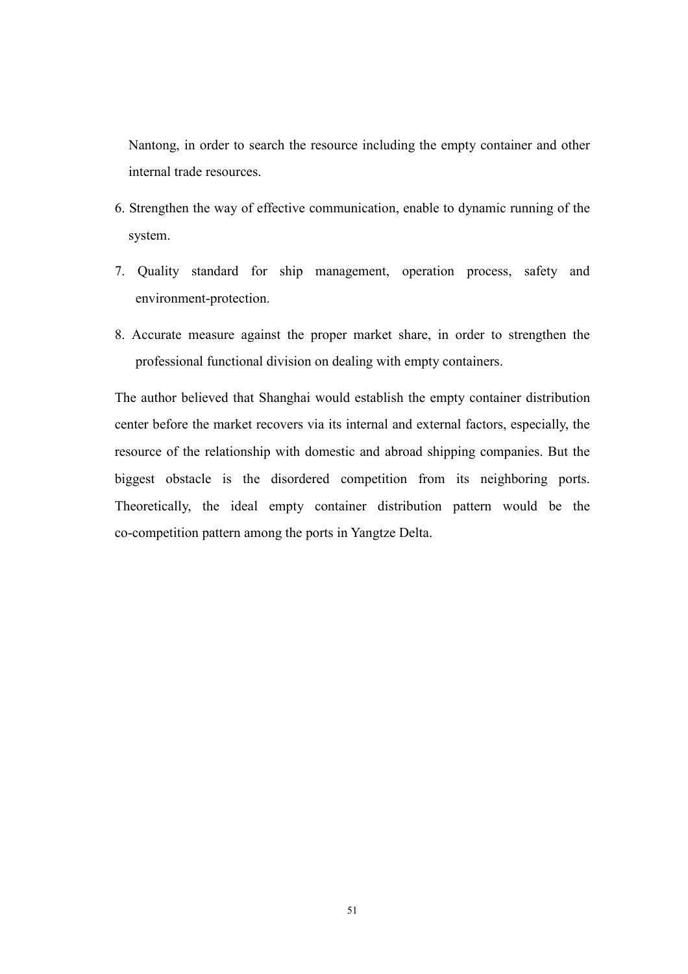Nantong, in order to search the resource including the empty container and other internal trade resources.

- 6. Strengthen the way of effective communication, enable to dynamic running of the system.
- 7. Quality standard for ship management, operation process, safety and environment-protection.
- 8. Accurate measure against the proper market share, in order to strengthen the professional functional division on dealing with empty containers.

The author believed that Shanghai would establish the empty container distribution center before the market recovers via its internal and external factors, especially, the resource of the relationship with domestic and abroad shipping companies. But the biggest obstacle is the disordered competition from its neighboring ports. Theoretically, the ideal empty container distribution pattern would be the co-competition pattern among the ports in Yangtze Delta.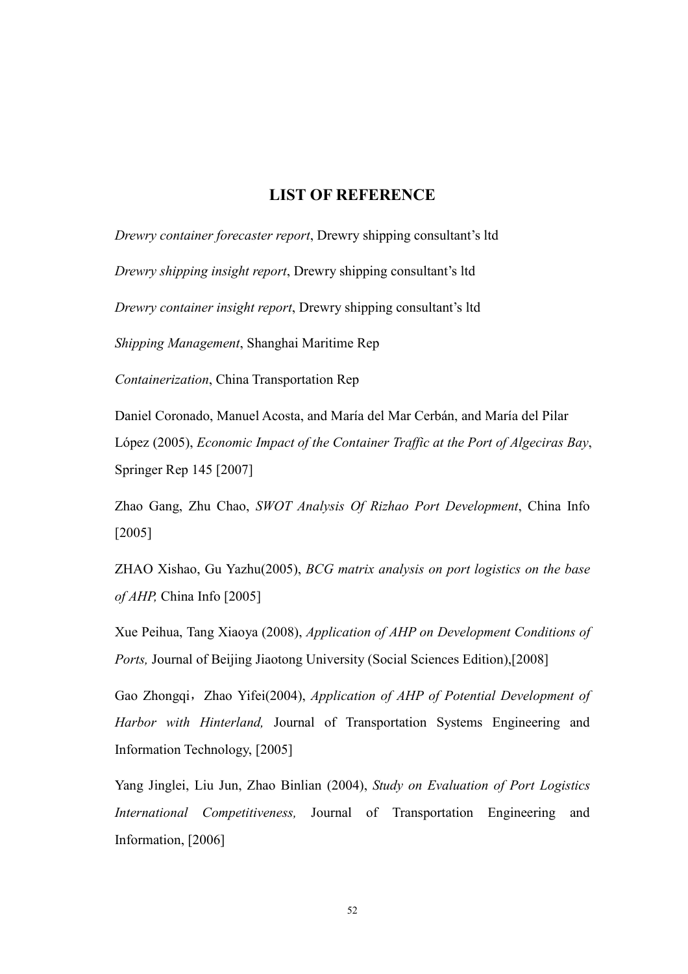## LIST OF REFERENCE

Drewry container forecaster report, Drewry shipping consultant's ltd

Drewry shipping insight report, Drewry shipping consultant's ltd

Drewry container insight report, Drewry shipping consultant's ltd

Shipping Management, Shanghai Maritime Rep

Containerization, China Transportation Rep

Daniel Coronado, Manuel Acosta, and María del Mar Cerbán, and María del Pilar López (2005), Economic Impact of the Container Traffic at the Port of Algeciras Bay, Springer Rep 145 [2007]

Zhao Gang, Zhu Chao, SWOT Analysis Of Rizhao Port Development, China Info [2005]

ZHAO Xishao, Gu Yazhu(2005), BCG matrix analysis on port logistics on the base of AHP, China Info [2005]

Xue Peihua, Tang Xiaoya (2008), Application of AHP on Development Conditions of Ports, Journal of Beijing Jiaotong University (Social Sciences Edition),[2008]

Gao Zhongqi, Zhao Yifei(2004), Application of AHP of Potential Development of Harbor with Hinterland, Journal of Transportation Systems Engineering and Information Technology, [2005]

Yang Jinglei, Liu Jun, Zhao Binlian (2004), Study on Evaluation of Port Logistics International Competitiveness, Journal of Transportation Engineering and Information, [2006]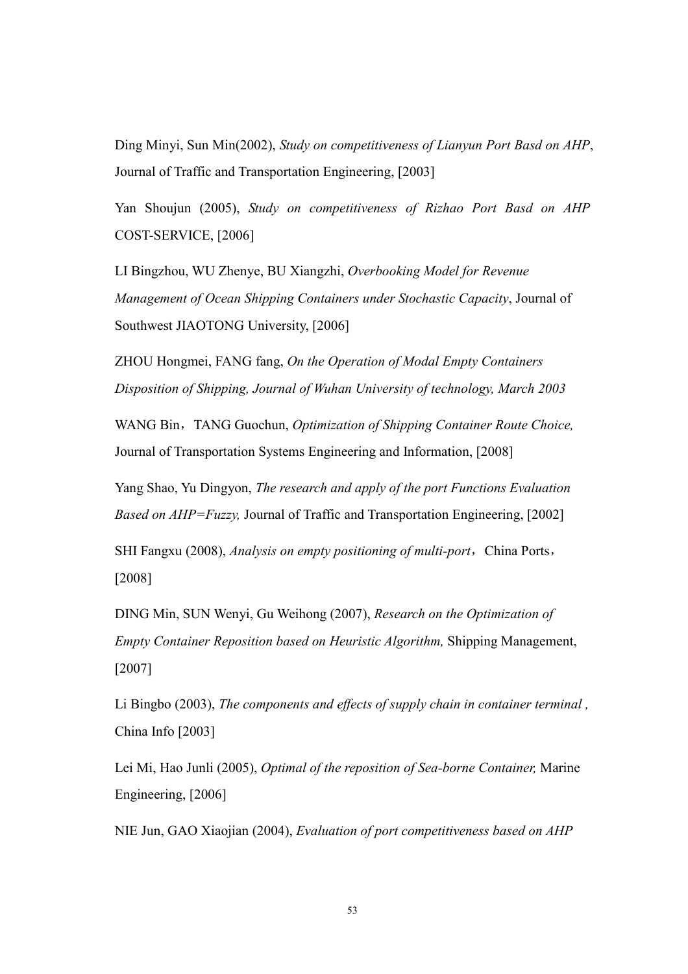Ding Minyi, Sun Min(2002), Study on competitiveness of Lianyun Port Basd on AHP, Journal of Traffic and Transportation Engineering, [2003]

Yan Shoujun (2005), Study on competitiveness of Rizhao Port Basd on AHP COST-SERVICE, [2006]

LI Bingzhou, WU Zhenye, BU Xiangzhi, Overbooking Model for Revenue Management of Ocean Shipping Containers under Stochastic Capacity, Journal of Southwest JIAOTONG University, [2006]

ZHOU Hongmei, FANG fang, On the Operation of Modal Empty Containers Disposition of Shipping, Journal of Wuhan University of technology, March 2003

WANG Bin, TANG Guochun, *Optimization of Shipping Container Route Choice*, Journal of Transportation Systems Engineering and Information, [2008]

Yang Shao, Yu Dingyon, The research and apply of the port Functions Evaluation Based on AHP=Fuzzy, Journal of Traffic and Transportation Engineering, [2002]

SHI Fangxu (2008), *Analysis on empty positioning of multi-port*, China Ports, [2008]

DING Min, SUN Wenyi, Gu Weihong (2007), Research on the Optimization of Empty Container Reposition based on Heuristic Algorithm, Shipping Management, [2007]

Li Bingbo (2003), The components and effects of supply chain in container terminal , China Info [2003]

Lei Mi, Hao Junli (2005), Optimal of the reposition of Sea-borne Container, Marine Engineering, [2006]

NIE Jun, GAO Xiaojian (2004), Evaluation of port competitiveness based on AHP